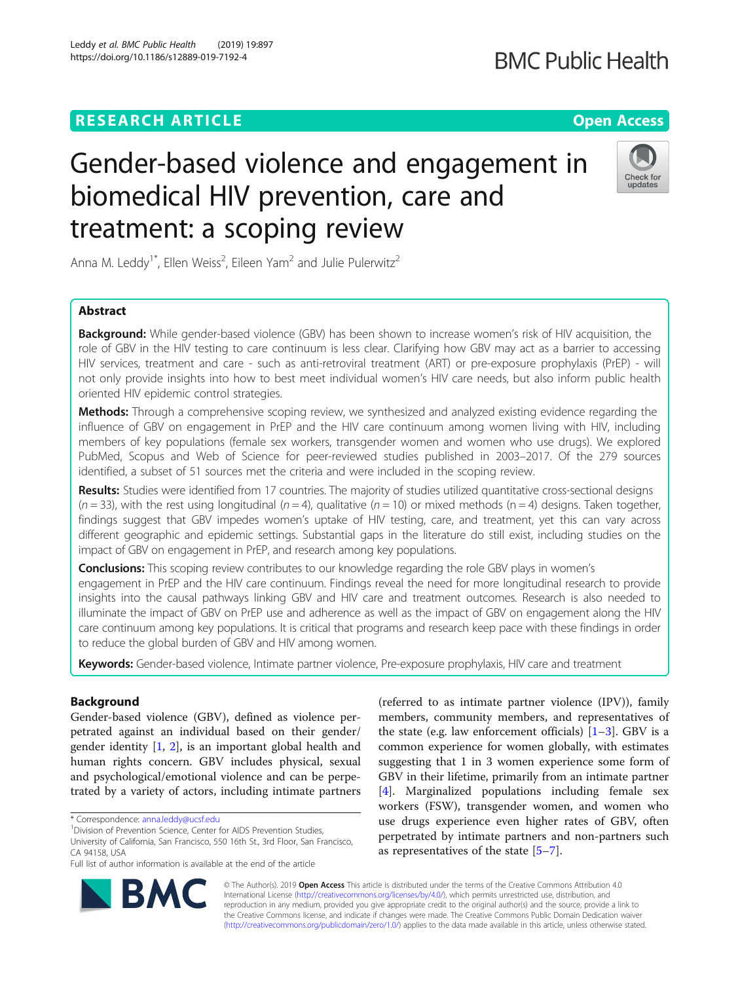# **RESEARCH ARTICLE Example 2014 12:30 The Contract of Contract ACCESS**

# Gender-based violence and engagement in biomedical HIV prevention, care and treatment: a scoping review

Anna M. Leddy<sup>1\*</sup>, Ellen Weiss<sup>2</sup>, Eileen Yam<sup>2</sup> and Julie Pulerwitz<sup>2</sup>

# Abstract

**Background:** While gender-based violence (GBV) has been shown to increase women's risk of HIV acquisition, the role of GBV in the HIV testing to care continuum is less clear. Clarifying how GBV may act as a barrier to accessing HIV services, treatment and care - such as anti-retroviral treatment (ART) or pre-exposure prophylaxis (PrEP) - will not only provide insights into how to best meet individual women's HIV care needs, but also inform public health oriented HIV epidemic control strategies.

Methods: Through a comprehensive scoping review, we synthesized and analyzed existing evidence regarding the influence of GBV on engagement in PrEP and the HIV care continuum among women living with HIV, including members of key populations (female sex workers, transgender women and women who use drugs). We explored PubMed, Scopus and Web of Science for peer-reviewed studies published in 2003–2017. Of the 279 sources identified, a subset of 51 sources met the criteria and were included in the scoping review.

Results: Studies were identified from 17 countries. The majority of studies utilized quantitative cross-sectional designs  $(n=33)$ , with the rest using longitudinal  $(n=4)$ , qualitative  $(n=10)$  or mixed methods  $(n=4)$  designs. Taken together, findings suggest that GBV impedes women's uptake of HIV testing, care, and treatment, yet this can vary across different geographic and epidemic settings. Substantial gaps in the literature do still exist, including studies on the impact of GBV on engagement in PrEP, and research among key populations.

**Conclusions:** This scoping review contributes to our knowledge regarding the role GBV plays in women's engagement in PrEP and the HIV care continuum. Findings reveal the need for more longitudinal research to provide insights into the causal pathways linking GBV and HIV care and treatment outcomes. Research is also needed to illuminate the impact of GBV on PrEP use and adherence as well as the impact of GBV on engagement along the HIV care continuum among key populations. It is critical that programs and research keep pace with these findings in order to reduce the global burden of GBV and HIV among women.

Keywords: Gender-based violence, Intimate partner violence, Pre-exposure prophylaxis, HIV care and treatment

# Background

Gender-based violence (GBV), defined as violence perpetrated against an individual based on their gender/ gender identity [[1,](#page-11-0) [2\]](#page-11-0), is an important global health and human rights concern. GBV includes physical, sexual and psychological/emotional violence and can be perpetrated by a variety of actors, including intimate partners

(referred to as intimate partner violence (IPV)), family members, community members, and representatives of the state (e.g. law enforcement officials)  $[1-3]$  $[1-3]$  $[1-3]$  $[1-3]$  $[1-3]$ . GBV is a common experience for women globally, with estimates suggesting that 1 in 3 women experience some form of GBV in their lifetime, primarily from an intimate partner [[4\]](#page-11-0). Marginalized populations including female sex workers (FSW), transgender women, and women who use drugs experience even higher rates of GBV, often perpetrated by intimate partners and non-partners such as representatives of the state [[5](#page-11-0)–[7](#page-11-0)].

© The Author(s). 2019 Open Access This article is distributed under the terms of the Creative Commons Attribution 4.0 International License [\(http://creativecommons.org/licenses/by/4.0/](http://creativecommons.org/licenses/by/4.0/)), which permits unrestricted use, distribution, and reproduction in any medium, provided you give appropriate credit to the original author(s) and the source, provide a link to the Creative Commons license, and indicate if changes were made. The Creative Commons Public Domain Dedication waiver [\(http://creativecommons.org/publicdomain/zero/1.0/](http://creativecommons.org/publicdomain/zero/1.0/)) applies to the data made available in this article, unless otherwise stated.





<sup>\*</sup> Correspondence: [anna.leddy@ucsf.edu](mailto:anna.leddy@ucsf.edu) <sup>1</sup>

<sup>&</sup>lt;sup>1</sup>Division of Prevention Science, Center for AIDS Prevention Studies, University of California, San Francisco, 550 16th St., 3rd Floor, San Francisco, CA 94158, USA

Full list of author information is available at the end of the article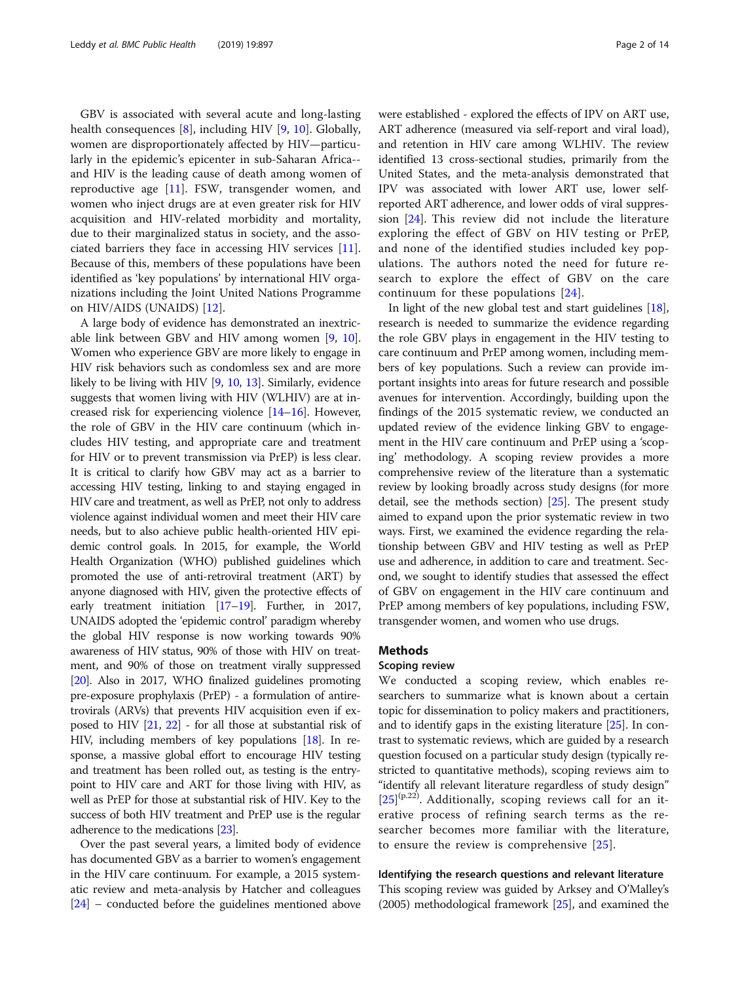GBV is associated with several acute and long-lasting health consequences [\[8](#page-11-0)], including HIV [[9,](#page-11-0) [10\]](#page-11-0). Globally, women are disproportionately affected by HIV—particularly in the epidemic's epicenter in sub-Saharan Africa- and HIV is the leading cause of death among women of reproductive age [[11\]](#page-11-0). FSW, transgender women, and women who inject drugs are at even greater risk for HIV acquisition and HIV-related morbidity and mortality, due to their marginalized status in society, and the associated barriers they face in accessing HIV services [\[11](#page-11-0)]. Because of this, members of these populations have been identified as 'key populations' by international HIV organizations including the Joint United Nations Programme on HIV/AIDS (UNAIDS) [\[12\]](#page-11-0).

A large body of evidence has demonstrated an inextricable link between GBV and HIV among women [[9](#page-11-0), [10](#page-11-0)]. Women who experience GBV are more likely to engage in HIV risk behaviors such as condomless sex and are more likely to be living with HIV [\[9,](#page-11-0) [10,](#page-11-0) [13](#page-11-0)]. Similarly, evidence suggests that women living with HIV (WLHIV) are at increased risk for experiencing violence [[14](#page-11-0)–[16\]](#page-11-0). However, the role of GBV in the HIV care continuum (which includes HIV testing, and appropriate care and treatment for HIV or to prevent transmission via PrEP) is less clear. It is critical to clarify how GBV may act as a barrier to accessing HIV testing, linking to and staying engaged in HIV care and treatment, as well as PrEP, not only to address violence against individual women and meet their HIV care needs, but to also achieve public health-oriented HIV epidemic control goals. In 2015, for example, the World Health Organization (WHO) published guidelines which promoted the use of anti-retroviral treatment (ART) by anyone diagnosed with HIV, given the protective effects of early treatment initiation [[17](#page-11-0)–[19](#page-11-0)]. Further, in 2017, UNAIDS adopted the 'epidemic control' paradigm whereby the global HIV response is now working towards 90% awareness of HIV status, 90% of those with HIV on treatment, and 90% of those on treatment virally suppressed [[20](#page-11-0)]. Also in 2017, WHO finalized guidelines promoting pre-exposure prophylaxis (PrEP) - a formulation of antiretrovirals (ARVs) that prevents HIV acquisition even if exposed to HIV [\[21,](#page-11-0) [22\]](#page-11-0) - for all those at substantial risk of HIV, including members of key populations [[18](#page-11-0)]. In response, a massive global effort to encourage HIV testing and treatment has been rolled out, as testing is the entrypoint to HIV care and ART for those living with HIV, as well as PrEP for those at substantial risk of HIV. Key to the success of both HIV treatment and PrEP use is the regular adherence to the medications [[23\]](#page-11-0).

Over the past several years, a limited body of evidence has documented GBV as a barrier to women's engagement in the HIV care continuum. For example, a 2015 systematic review and meta-analysis by Hatcher and colleagues [[24](#page-11-0)] – conducted before the guidelines mentioned above were established - explored the effects of IPV on ART use, ART adherence (measured via self-report and viral load), and retention in HIV care among WLHIV. The review identified 13 cross-sectional studies, primarily from the United States, and the meta-analysis demonstrated that IPV was associated with lower ART use, lower selfreported ART adherence, and lower odds of viral suppression [[24](#page-11-0)]. This review did not include the literature exploring the effect of GBV on HIV testing or PrEP, and none of the identified studies included key populations. The authors noted the need for future research to explore the effect of GBV on the care continuum for these populations [[24\]](#page-11-0).

In light of the new global test and start guidelines [[18](#page-11-0)], research is needed to summarize the evidence regarding the role GBV plays in engagement in the HIV testing to care continuum and PrEP among women, including members of key populations. Such a review can provide important insights into areas for future research and possible avenues for intervention. Accordingly, building upon the findings of the 2015 systematic review, we conducted an updated review of the evidence linking GBV to engagement in the HIV care continuum and PrEP using a 'scoping' methodology. A scoping review provides a more comprehensive review of the literature than a systematic review by looking broadly across study designs (for more detail, see the methods section) [\[25\]](#page-11-0). The present study aimed to expand upon the prior systematic review in two ways. First, we examined the evidence regarding the relationship between GBV and HIV testing as well as PrEP use and adherence, in addition to care and treatment. Second, we sought to identify studies that assessed the effect of GBV on engagement in the HIV care continuum and PrEP among members of key populations, including FSW, transgender women, and women who use drugs.

## Methods

# Scoping review

We conducted a scoping review, which enables researchers to summarize what is known about a certain topic for dissemination to policy makers and practitioners, and to identify gaps in the existing literature [[25](#page-11-0)]. In contrast to systematic reviews, which are guided by a research question focused on a particular study design (typically restricted to quantitative methods), scoping reviews aim to "identify all relevant literature regardless of study design"  $[25]^{(p.22)}$  $[25]^{(p.22)}$  $[25]^{(p.22)}$ . Additionally, scoping reviews call for an iterative process of refining search terms as the researcher becomes more familiar with the literature, to ensure the review is comprehensive [[25](#page-11-0)].

## Identifying the research questions and relevant literature

This scoping review was guided by Arksey and O'Malley's (2005) methodological framework [[25\]](#page-11-0), and examined the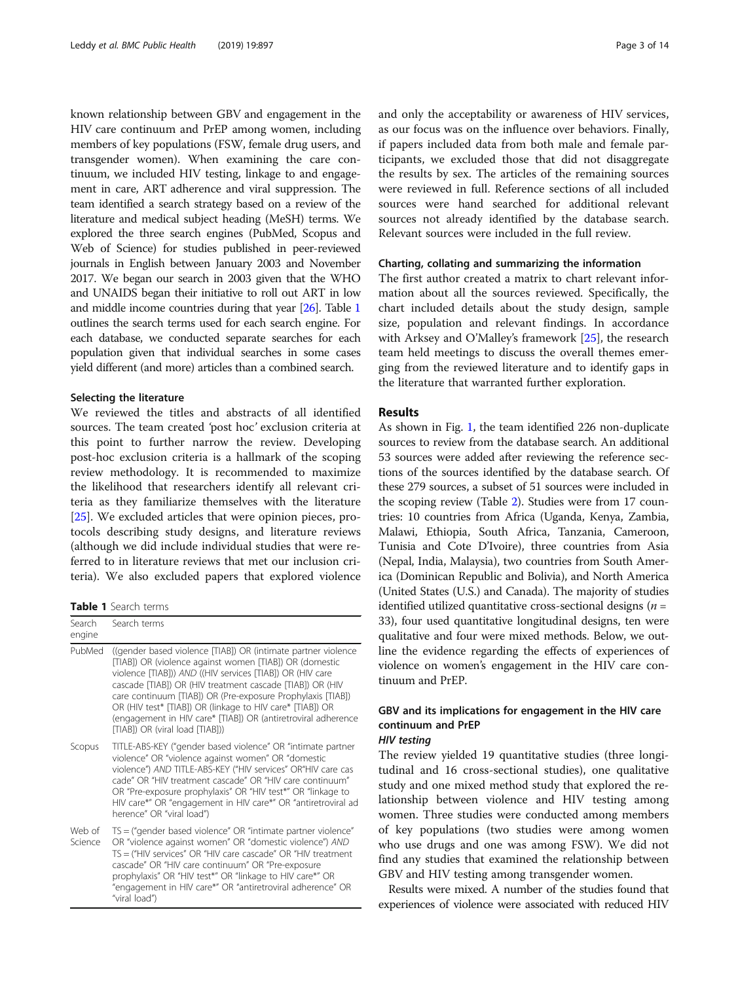known relationship between GBV and engagement in the HIV care continuum and PrEP among women, including members of key populations (FSW, female drug users, and transgender women). When examining the care continuum, we included HIV testing, linkage to and engagement in care, ART adherence and viral suppression. The team identified a search strategy based on a review of the literature and medical subject heading (MeSH) terms. We explored the three search engines (PubMed, Scopus and Web of Science) for studies published in peer-reviewed journals in English between January 2003 and November 2017. We began our search in 2003 given that the WHO and UNAIDS began their initiative to roll out ART in low and middle income countries during that year [\[26\]](#page-11-0). Table 1 outlines the search terms used for each search engine. For each database, we conducted separate searches for each population given that individual searches in some cases yield different (and more) articles than a combined search.

### Selecting the literature

We reviewed the titles and abstracts of all identified sources. The team created 'post hoc' exclusion criteria at this point to further narrow the review. Developing post-hoc exclusion criteria is a hallmark of the scoping review methodology. It is recommended to maximize the likelihood that researchers identify all relevant criteria as they familiarize themselves with the literature [[25\]](#page-11-0). We excluded articles that were opinion pieces, protocols describing study designs, and literature reviews (although we did include individual studies that were referred to in literature reviews that met our inclusion criteria). We also excluded papers that explored violence

Table 1 Search terms

"viral load")

| Search<br>engine  | Search terms                                                                                                                                                                                                                                                                                                                                                                                                                                                                       |
|-------------------|------------------------------------------------------------------------------------------------------------------------------------------------------------------------------------------------------------------------------------------------------------------------------------------------------------------------------------------------------------------------------------------------------------------------------------------------------------------------------------|
| PubMed            | ((gender based violence [TIAB]) OR (intimate partner violence<br>[TIAB]) OR (violence against women [TIAB]) OR (domestic<br>violence [TIAB])) AND ((HIV services [TIAB]) OR (HIV care<br>cascade [TIAB]) OR (HIV treatment cascade [TIAB]) OR (HIV<br>care continuum [TIAB]) OR (Pre-exposure Prophylaxis [TIAB])<br>OR (HIV test* [TIAB]) OR (linkage to HIV care* [TIAB]) OR<br>(engagement in HIV care* [TIAB]) OR (antiretroviral adherence<br>[TIAB]) OR (viral load [TIAB])) |
| Scopus            | TITLE-ABS-KEY ("gender based violence" OR "intimate partner<br>violence" OR "violence against women" OR "domestic<br>violence") AND TITLE-ABS-KEY ("HIV services" OR"HIV care cas<br>cade" OR "HIV treatment cascade" OR "HIV care continuum"<br>OR "Pre-exposure prophylaxis" OR "HIV test*" OR "linkage to<br>HIV care*" OR "engagement in HIV care*" OR "antiretroviral ad<br>herence" OR "viral load")                                                                         |
| Web of<br>Science | $TS =$ ("gender based violence" OR "intimate partner violence"<br>OR "violence against women" OR "domestic violence") AND<br>TS = ("HIV services" OR "HIV care cascade" OR "HIV treatment<br>cascade" OR "HIV care continuum" OR "Pre-exposure<br>prophylaxis" OR "HIV test*" OR "linkage to HIV care*" OR<br>"engagement in HIV care*" OR "antiretroviral adherence" OR                                                                                                           |

and only the acceptability or awareness of HIV services, as our focus was on the influence over behaviors. Finally, if papers included data from both male and female participants, we excluded those that did not disaggregate the results by sex. The articles of the remaining sources were reviewed in full. Reference sections of all included sources were hand searched for additional relevant sources not already identified by the database search. Relevant sources were included in the full review.

#### Charting, collating and summarizing the information

The first author created a matrix to chart relevant information about all the sources reviewed. Specifically, the chart included details about the study design, sample size, population and relevant findings. In accordance with Arksey and O'Malley's framework [\[25](#page-11-0)], the research team held meetings to discuss the overall themes emerging from the reviewed literature and to identify gaps in the literature that warranted further exploration.

# Results

As shown in Fig. [1,](#page-3-0) the team identified 226 non-duplicate sources to review from the database search. An additional 53 sources were added after reviewing the reference sections of the sources identified by the database search. Of these 279 sources, a subset of 51 sources were included in the scoping review (Table [2\)](#page-4-0). Studies were from 17 countries: 10 countries from Africa (Uganda, Kenya, Zambia, Malawi, Ethiopia, South Africa, Tanzania, Cameroon, Tunisia and Cote D'Ivoire), three countries from Asia (Nepal, India, Malaysia), two countries from South America (Dominican Republic and Bolivia), and North America (United States (U.S.) and Canada). The majority of studies identified utilized quantitative cross-sectional designs ( $n =$ 33), four used quantitative longitudinal designs, ten were qualitative and four were mixed methods. Below, we outline the evidence regarding the effects of experiences of violence on women's engagement in the HIV care continuum and PrEP.

# GBV and its implications for engagement in the HIV care continuum and PrEP

## HIV testing

The review yielded 19 quantitative studies (three longitudinal and 16 cross-sectional studies), one qualitative study and one mixed method study that explored the relationship between violence and HIV testing among women. Three studies were conducted among members of key populations (two studies were among women who use drugs and one was among FSW). We did not find any studies that examined the relationship between GBV and HIV testing among transgender women.

Results were mixed. A number of the studies found that experiences of violence were associated with reduced HIV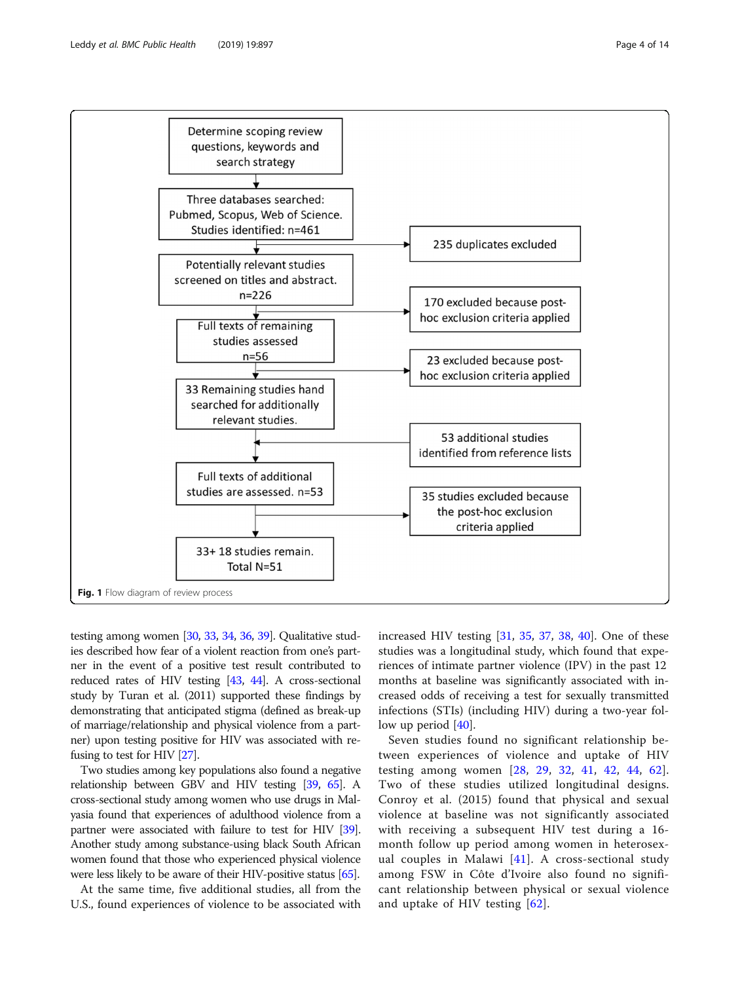<span id="page-3-0"></span>

testing among women [\[30,](#page-11-0) [33,](#page-11-0) [34](#page-11-0), [36,](#page-11-0) [39\]](#page-11-0). Qualitative studies described how fear of a violent reaction from one's partner in the event of a positive test result contributed to reduced rates of HIV testing [\[43,](#page-11-0) [44](#page-12-0)]. A cross-sectional study by Turan et al. (2011) supported these findings by demonstrating that anticipated stigma (defined as break-up of marriage/relationship and physical violence from a partner) upon testing positive for HIV was associated with refusing to test for HIV [\[27\]](#page-11-0).

Two studies among key populations also found a negative relationship between GBV and HIV testing [[39](#page-11-0), [65](#page-12-0)]. A cross-sectional study among women who use drugs in Malyasia found that experiences of adulthood violence from a partner were associated with failure to test for HIV [\[39](#page-11-0)]. Another study among substance-using black South African women found that those who experienced physical violence were less likely to be aware of their HIV-positive status [\[65\]](#page-12-0).

At the same time, five additional studies, all from the U.S., found experiences of violence to be associated with increased HIV testing [\[31](#page-11-0), [35](#page-11-0), [37,](#page-11-0) [38,](#page-11-0) [40](#page-11-0)]. One of these studies was a longitudinal study, which found that experiences of intimate partner violence (IPV) in the past 12 months at baseline was significantly associated with increased odds of receiving a test for sexually transmitted infections (STIs) (including HIV) during a two-year follow up period [[40\]](#page-11-0).

Seven studies found no significant relationship between experiences of violence and uptake of HIV testing among women [\[28,](#page-11-0) [29,](#page-11-0) [32](#page-11-0), [41](#page-11-0), [42,](#page-11-0) [44,](#page-12-0) [62](#page-12-0)]. Two of these studies utilized longitudinal designs. Conroy et al. (2015) found that physical and sexual violence at baseline was not significantly associated with receiving a subsequent HIV test during a 16 month follow up period among women in heterosexual couples in Malawi [[41\]](#page-11-0). A cross-sectional study among FSW in Côte d'Ivoire also found no significant relationship between physical or sexual violence and uptake of HIV testing [[62](#page-12-0)].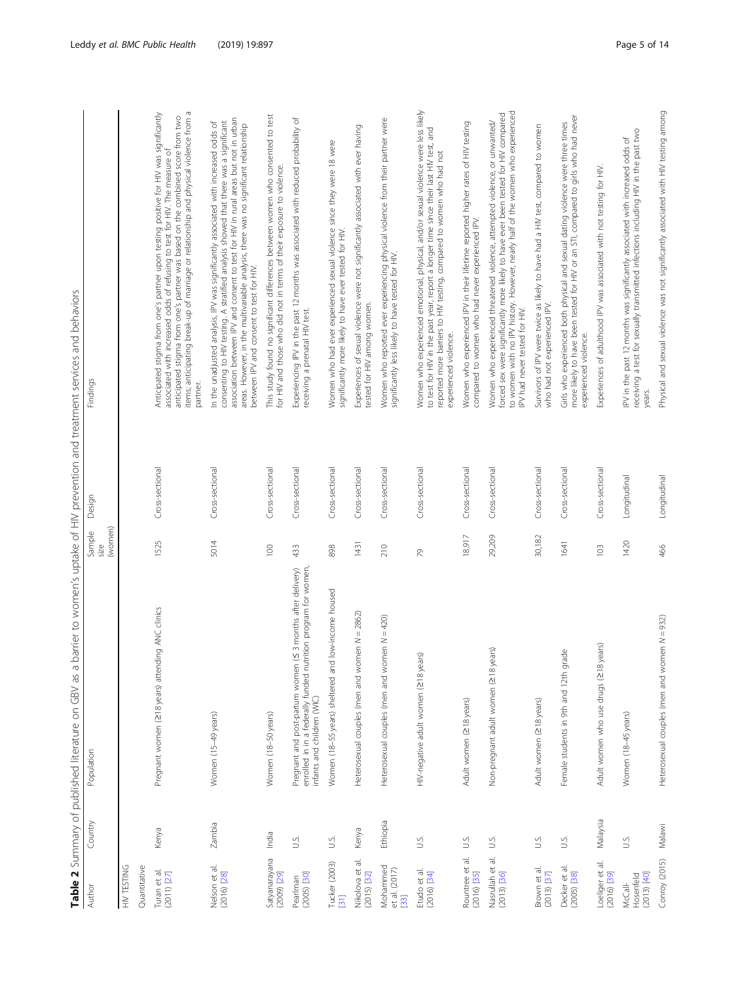| ì                                                                                                                                          |                        |
|--------------------------------------------------------------------------------------------------------------------------------------------|------------------------|
| $\begin{array}{c} 1 \ 0 \ 0 \end{array}$                                                                                                   | j<br>š<br>i<br>S       |
| www.handuitealt.put of Hilly Maryley MiH to also in Savi<br>$\frac{1}{2}$                                                                  | j<br>ה<br>כל<br>Sample |
| j<br>1<br>1<br>1<br>3<br>1<br><br>מי (במון מר מימו<br>.<br>ו<br>١<br>j<br>$\overline{ }$<br>J<br>TI Ira<br>5<br>ì<br>ļ<br>I<br>l<br>ì<br>l | j                      |
| $\ddot{\phantom{a}}$<br>j<br>ì                                                                                                             | ountry                 |
| able ?                                                                                                                                     | š                      |

<span id="page-4-0"></span>

|                                           |          | Table 2 Summary of published literature on GBV as                                                                                                          |                           |                 | a barrier to women's uptake of HIV prevention and treatment services and behaviors                                                                                                                                                                                                                                                                                                                     |
|-------------------------------------------|----------|------------------------------------------------------------------------------------------------------------------------------------------------------------|---------------------------|-----------------|--------------------------------------------------------------------------------------------------------------------------------------------------------------------------------------------------------------------------------------------------------------------------------------------------------------------------------------------------------------------------------------------------------|
| Author                                    | Country  | Population                                                                                                                                                 | (women)<br>Sample<br>size | Design          | Findings                                                                                                                                                                                                                                                                                                                                                                                               |
| HIV TESTING                               |          |                                                                                                                                                            |                           |                 |                                                                                                                                                                                                                                                                                                                                                                                                        |
| Quantitative                              |          |                                                                                                                                                            |                           |                 |                                                                                                                                                                                                                                                                                                                                                                                                        |
| Turan et al.<br>(2011) $[27]$             | Kenya    | Pregnant women (218 years) attending ANC clinics                                                                                                           | 1525                      | Cross-sectional | items; anticipating break-up of marriage or relationship and physical violence from a<br>Anticipated stigma from one's partner upon testing positive for HIV was significantly<br>associated with increased odds of refusing to test for HIV. The measure of<br>anticipated stigma from one's partner was based on the combined score from two<br>partner.                                             |
| Nelson et al.<br>$(2016)$ $[28]$          | Zambia   | Women (15-49 years)                                                                                                                                        | 5014                      | Cross-sectional | association between IPV and consent to test for HIV in rural areas but not in urban<br>consenting to HIV testing. A stratified analysis showed that there was a significant<br>In the unadjusted analysis, IPV was significantly associated with increased odds of<br>areas. However, in the multivariable analysis, there was no significant relationship<br>between IPV and consent to test for HIV. |
| Satyanarayana<br>$[2009]$ $[29]$          | India    | Women (18-50 years)                                                                                                                                        | 100                       | Cross-sectional | This study found no significant differences between women who consented to test<br>for HIV and those who did not in terms of their exposure to violence.                                                                                                                                                                                                                                               |
| $(2005)$ $[30]$<br>Pearlman               | Ú.       | Pregnant and post-partum women (≤ 3 months after delivery)<br>enrolled in in a federally funded nutrition program for women,<br>infants and children (WIC) | 433                       | Cross-sectional | Experiencing IPV in the past 12 months was associated with reduced probability of<br>receiving a prenatal HIV test.                                                                                                                                                                                                                                                                                    |
| Tucker (2003)<br>[31]                     | S.       | Women (18-55 years) sheltered and low-income housed                                                                                                        | 898                       | Cross-sectional | Women who had ever experienced sexual violence since they were 18 were<br>significantly more likely to have ever tested for HIV.                                                                                                                                                                                                                                                                       |
| Nikolova et al.<br>$(2015)$ [32]          | Kenya    | Heterosexual couples (men and women N = 2862)                                                                                                              | 1431                      | Cross-sectional | Experiences of sexual violence were not significantly associated with ever having<br>tested for HIV among women.                                                                                                                                                                                                                                                                                       |
| Mohammed<br>et al. (2017)<br>$[33]$       | Ethiopia | Heterosexual couples (men and women N = 420)                                                                                                               | 210                       | Cross-sectional | Women who reported ever experiencing physical violence from their partner were<br>significantly less likely to have tested for HIV.                                                                                                                                                                                                                                                                    |
| Etudo et al.<br>(2016) [34]               | S.       | HIV-negative adult women (218 years)                                                                                                                       | 29                        | Cross-sectional | Women who experienced emotional, physical, and/or sexual violence were less likely<br>to test for HIV in the past year, report a longer time since their last HIV test, and<br>reported more barriers to HIV testing, compared to women who had not<br>experienced violence.                                                                                                                           |
| Rountree et al.<br>$(2016)$ [35]          | S.       | Adult women (218 years)                                                                                                                                    | 18,917                    | Cross-sectional | Women who experienced IPV in their lifetime reported higher rates of HIV testing<br>compared to women who had never experienced IPV.                                                                                                                                                                                                                                                                   |
| Nasrullah et al.<br>$(2013)$ [36]         | S.       | Non-pregnant adult women (218 years)                                                                                                                       | 29,209                    | Cross-sectional | to women with no IPV history. However, nearly half of the women who experienced<br>forced sex were significantly more likely to have ever been tested for HIV compared<br>Women who experienced threatened violence, attempted violence, or unwanted/<br>IPV had never tested for HIV.                                                                                                                 |
| Brown et al.<br>$(2013)$ [37]             | S.       | Adult women (218 years)                                                                                                                                    | 30,182                    | Cross-sectional | Survivors of IPV were twice as likely to have had a HIV test, compared to women<br>who had not experienced IPV.                                                                                                                                                                                                                                                                                        |
| Decker et al.<br>$(2005)$ [38]            | U.S.     | Female students in 9th and 12th grade                                                                                                                      | 1641                      | Cross-sectional | more likely to have been tested for HIV or an STI, compared to girls who had never<br>Girls who experienced both physical and sexual dating violence were three times<br>experienced violence.                                                                                                                                                                                                         |
| Loeliger et al.<br>$(2016)$ [39]          | Malaysia | Adult women who use drugs (218 years)                                                                                                                      | 103                       | Cross-sectional | Experiences of adulthood IPV was associated with not testing for HIV                                                                                                                                                                                                                                                                                                                                   |
| $(2013)$ $[40]$<br>Hosenfeld<br>$McCall-$ | Ú.       | Women (18-45 years)                                                                                                                                        | 1420                      | Longitudinal    | receiving a test for sexually transmitted infections including HIV in the past two<br>IPV in the past 12 months was significantly associated with increased odds of<br>years.                                                                                                                                                                                                                          |
| Conroy (2015)                             | Malawi   | Heterosexual couples (men and women N = 932)                                                                                                               | 466                       | Longitudinal    | Physical and sexual violence was not significantly associated with HIV testing among                                                                                                                                                                                                                                                                                                                   |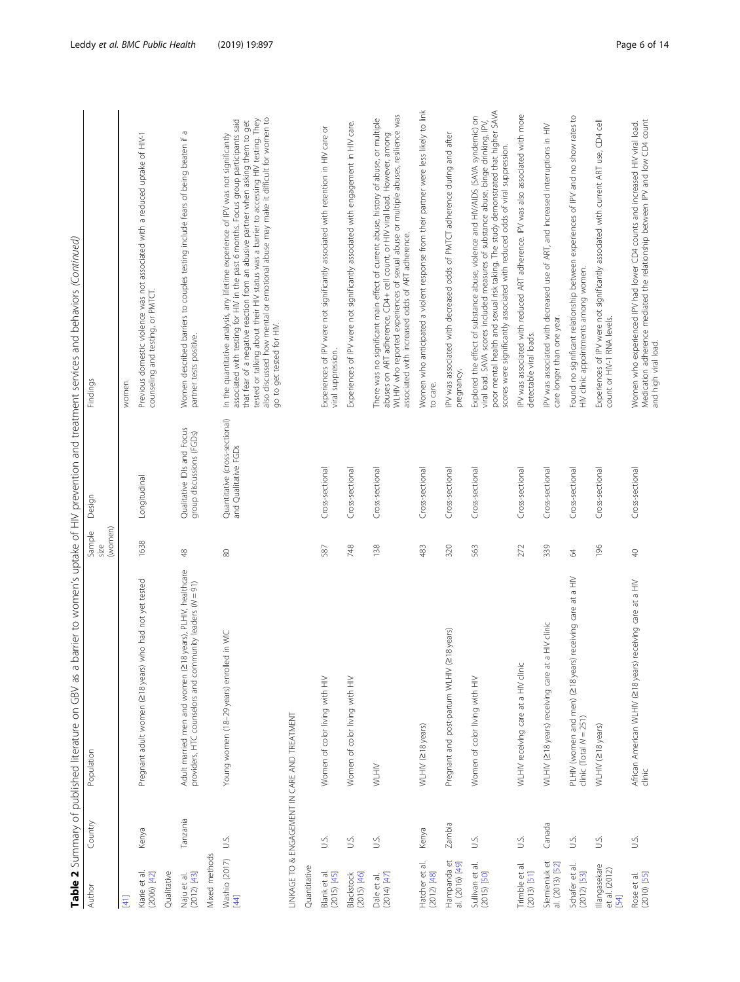| 5<br>١<br>ί<br>j<br>こくらい<br>j<br>i<br>j<br>5                                                                 |                                        |
|--------------------------------------------------------------------------------------------------------------|----------------------------------------|
| )<br>)<br>)<br>)<br>ļ<br>)<br>)<br>)<br>)<br>)<br>ĺ<br> <br> <br> <br>j                                      | a Miriada<br>ł<br>j                    |
| ֢ׅ֪֧֧֚֚֚֚֚֚֚֚֚֚֚֚֚֚֚֚֚֬֡֡֡֜֓֡֡֡֡֝֬֝<br>į<br>j                                                                | ł<br>ÿ<br>ミリント<br>Doll I I Dre<br>ampl |
| .<br>.<br>.<br>.<br>.<br>.<br>.<br>.<br>j<br>י<br>י<br>is<br>CDN si<br>j<br>j<br>$\ddot{ }$<br>$\frac{1}{2}$ | ¢                                      |
| l<br>j<br>Yachsil<br>j<br>$\overline{1}$<br>Ś                                                                |                                        |
| ١                                                                                                            | 3<br>S                                 |
|                                                                                                              | utho                                   |

Design

Findings

|                                              |          |                                                                                                                           | (women)<br>size |                                                        |                                                                                                                                                                                                                                                                                                                                                                                                                                                                       |
|----------------------------------------------|----------|---------------------------------------------------------------------------------------------------------------------------|-----------------|--------------------------------------------------------|-----------------------------------------------------------------------------------------------------------------------------------------------------------------------------------------------------------------------------------------------------------------------------------------------------------------------------------------------------------------------------------------------------------------------------------------------------------------------|
| $\overline{41}$                              |          |                                                                                                                           |                 |                                                        | women.                                                                                                                                                                                                                                                                                                                                                                                                                                                                |
| Kiarie et al<br>$[2006]$ [42]<br>Qualitative | Kenya    | who had not yet tested<br>Pregnant adult women (218 years)                                                                | 1638            | Longitudinal                                           | Previous domestic violence was not associated with a reduced uptake of HIV-1<br>counseling and testing, or PMTCT.                                                                                                                                                                                                                                                                                                                                                     |
| $(2012)$ [43]<br>Naju et al.                 | Tanzania | 8 years), PLHIV, healthcare<br>providers, HTC counselors and community leaders (N = 91)<br>Adult married men and women (2 | $\frac{8}{4}$   | Qualitative IDIs and Focus<br>group discussions (FGDs) | Women described barriers to couples testing include fears of being beaten if a<br>partner tests positive.                                                                                                                                                                                                                                                                                                                                                             |
| Mixed methods                                |          |                                                                                                                           |                 |                                                        |                                                                                                                                                                                                                                                                                                                                                                                                                                                                       |
| Washio (2017)<br>$[44]$                      | UŚ.      | Young women (18-29 years) enrolled in WIC                                                                                 | 80              | Quantitative (cross-sectional)<br>and Qualitative FGDs | also discussed how mental or emotional abuse may make it difficult for women to<br>tested or talking about their HIV status was a barrier to accessing HIV testing. They<br>associated with testing for HIV in the past 6 months. Focus group participants said<br>that fear of a negative reaction from an abusive partner when asking them to get<br>In the quantitative analysis, any lifetime experience of IPV was not significantly<br>go to get tested for HV. |
|                                              |          | INKAGE TO & ENGAGEMENT IN CARE AND TREATMENT                                                                              |                 |                                                        |                                                                                                                                                                                                                                                                                                                                                                                                                                                                       |
| Quantitative                                 |          |                                                                                                                           |                 |                                                        |                                                                                                                                                                                                                                                                                                                                                                                                                                                                       |
| Blank et al.<br>$(2015)$ [45]                | US.      | Women of color living with HIV                                                                                            | 587             | Cross-sectional                                        | Experiences of IPV were not significantly associated with retention in HIV care or<br>viral suppression.                                                                                                                                                                                                                                                                                                                                                              |
| $(2015)$ [46]<br>Blackstock                  | S.       | Women of color living with HIV                                                                                            | 748             | Cross-sectional                                        | Experiences of IPV were not significantly associated with engagement in HIV care.                                                                                                                                                                                                                                                                                                                                                                                     |
| (2014) [47]<br>Dale et al.                   | UŚ.      | WLHIV                                                                                                                     | 138             | Cross-sectional                                        | WLHIV who reported experiences of sexual abuse or multiple abuses, resilience was<br>There was no significant main effect of current abuse, history of abuse, or multiple<br>abuses on ART adherence, CD4+ cell count, or HIV viral load. However, among<br>associated with increased odds of ART adherence.                                                                                                                                                          |
| Hatcher et al.<br>$(2012)$ $[48]$            | Kenya    | WLHIV (218 years)                                                                                                         | 483             | Cross-sectional                                        | Women who anticipated a violent response from their partner were less likely to link<br>to care.                                                                                                                                                                                                                                                                                                                                                                      |
| Hampanda et<br>al. (2016) [49]               | Zambia   | Pregnant and post-partum WLHIV (218 years)                                                                                | 320             | Cross-sectional                                        | IPV was associated with decreased odds of PMTCT adherence during and after<br>pregnancy.                                                                                                                                                                                                                                                                                                                                                                              |
| Sullivan et al.<br>$[2015]$ [50]             | S.       | Women of color living with HIV                                                                                            | 563             | Cross-sectional                                        | poor mental health and sexual risk taking. The study demonstrated that higher SAVA<br>Explored the effect of substance abuse, violence and HIV/AIDS (SAVA syndemic) on<br>viral load. SAVA scores included measures of substance abuse, binge drinking, IPV,<br>scores were significantly associated with reduced odds of viral suppression.                                                                                                                          |
| Trimble et al.<br>$(2013)$ [51]              | US.      | WLHIV receiving care at a HIV clinic                                                                                      | 272             | Cross-sectional                                        | IPV was associated with reduced ART adherence. IPV was also associated with more<br>detectable viral loads.                                                                                                                                                                                                                                                                                                                                                           |
| Siemieniuk et<br>al. (2013) [52]             | Canada   | a HIV dinic<br>WLHIV (218 years) receiving care at                                                                        | 339             | Cross-sectional                                        | IPV was associated with decreased use of ART, and increased interruptions in HIV<br>care longer than one year.                                                                                                                                                                                                                                                                                                                                                        |
| Schafer et al.<br>$[2012]$ [53]              | S.       | PLHIV (women and men) (218 years) receiving care at a HIV<br>clinic (Total $N = 251$ )                                    | 2               | Cross-sectional                                        | Found no significant relationship between experiences of IPV and no show rates to<br>HIV dinic appointments among women.                                                                                                                                                                                                                                                                                                                                              |
| llangasekare<br>et al. (2012)<br>[54]        | U.S.     | WLHIV (218 years)                                                                                                         | 196             | Cross-sectional                                        | Experiences of IPV were not significantly associated with current ART use, CD4 cell<br>count or HIV-1 RNA levels.                                                                                                                                                                                                                                                                                                                                                     |
| $(2010)$ [55]<br>Rose et al                  | U.S.     | receiving care at a HIV<br>African American WLHIV (218 years)<br>clinic                                                   | $\sqrt{4}$      | Cross-sectional                                        | Medication adherence mediated the relationship between IPV and low CD4 count<br>Women who experienced IPV had lower CD4 counts and increased HIV viral load.<br>and high viral load.                                                                                                                                                                                                                                                                                  |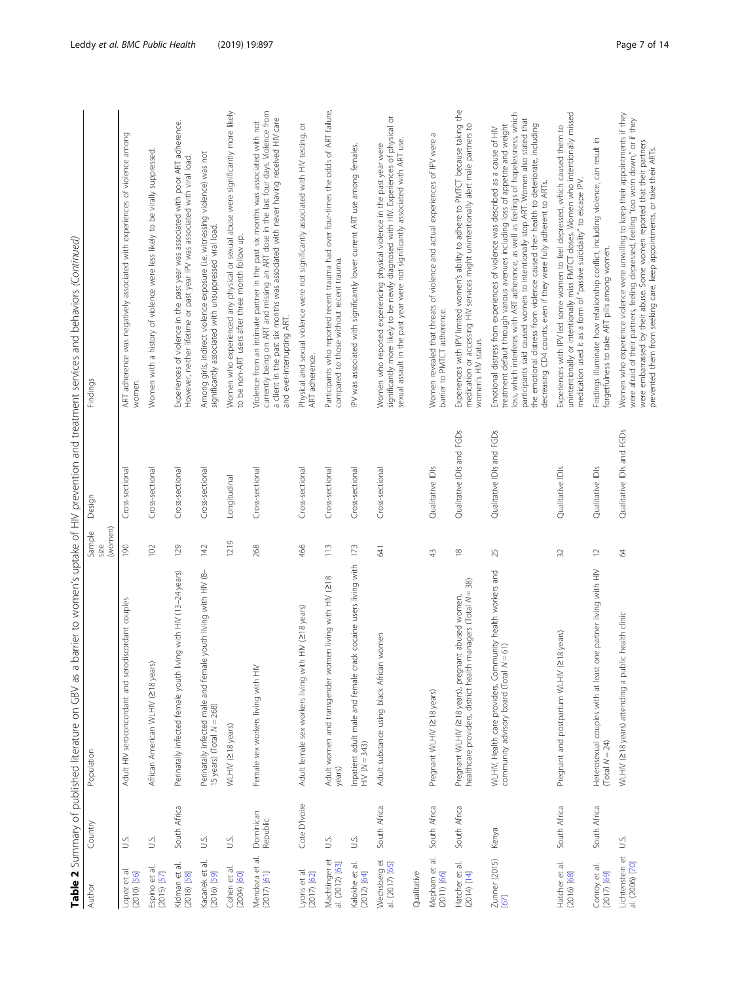| š<br>ċ                                  |  |
|-----------------------------------------|--|
| ١<br>١                                  |  |
|                                         |  |
|                                         |  |
| ١<br>j                                  |  |
|                                         |  |
| ł                                       |  |
|                                         |  |
| j<br>ł<br>١                             |  |
| )<br>2                                  |  |
|                                         |  |
| 7<br>5                                  |  |
| ١                                       |  |
|                                         |  |
| 1<br>j                                  |  |
|                                         |  |
| i                                       |  |
|                                         |  |
| j<br>Ì                                  |  |
| $\overline{a}$<br>¢                     |  |
| Í                                       |  |
| j<br>Ì<br>1<br>ÿ                        |  |
| j                                       |  |
| i<br>ļ                                  |  |
| 5<br>$\tilde{a}$                        |  |
|                                         |  |
| Ì                                       |  |
|                                         |  |
| ١                                       |  |
| i                                       |  |
|                                         |  |
|                                         |  |
| i<br>l<br>ł                             |  |
| I                                       |  |
|                                         |  |
| ī                                       |  |
|                                         |  |
| $\ddot{\phantom{a}}$                    |  |
| $\ddot{\phantom{0}}$                    |  |
| I                                       |  |
| ł<br>J<br>٠<br>$\overline{\phantom{a}}$ |  |
| ¢<br>I                                  |  |
|                                         |  |
|                                         |  |
|                                         |  |
|                                         |  |
|                                         |  |
| $\frac{1}{2}$                           |  |
| Š                                       |  |
|                                         |  |
|                                         |  |
|                                         |  |
|                                         |  |
| C<br>١<br>J<br>I<br>١                   |  |
| ١                                       |  |
| l                                       |  |
|                                         |  |
| ١                                       |  |
| d<br>١                                  |  |
| 4                                       |  |
| $\frac{1}{2}$                           |  |
|                                         |  |
| $\frac{1}{2}$                           |  |
| ċ<br>$\overline{2}$                     |  |
| í<br>I                                  |  |
|                                         |  |
|                                         |  |
|                                         |  |
| 5                                       |  |
|                                         |  |
|                                         |  |
| ١                                       |  |
| ١<br>ι                                  |  |
| ı                                       |  |
|                                         |  |
| l                                       |  |

| Author                             | Country               | Population                                                                                                          | (women)<br>Sample<br>size | Design                    | Findings                                                                                                                                                                                                                                                                                                                                                                                                                                                                                                  |
|------------------------------------|-----------------------|---------------------------------------------------------------------------------------------------------------------|---------------------------|---------------------------|-----------------------------------------------------------------------------------------------------------------------------------------------------------------------------------------------------------------------------------------------------------------------------------------------------------------------------------------------------------------------------------------------------------------------------------------------------------------------------------------------------------|
| Lopez et al<br>$(2010)$ [56]       | S.                    | Adult HIV seroconcordant and serodiscordant couples                                                                 | 190                       | Cross-sectional           | ART adherence was negatively associated with experiences of violence among<br>women.                                                                                                                                                                                                                                                                                                                                                                                                                      |
| Espino et al.<br>$(2015)$ [57]     | U.S.                  | African American WLHIV (218 years)                                                                                  | 102                       | Cross-sectional           | Women with a history of violence were less likely to be virally suppressed.                                                                                                                                                                                                                                                                                                                                                                                                                               |
| Kidman et al.<br>$(2018)$ [58]     | South Africa          | ig with HIV (13-24 years)<br>Perinatally infected female youth livin                                                | 129                       | Cross-sectional           | Experiences of violence in the past year was associated with poor ART adherence.<br>However, neither lifetime or past year IPV was associated with viral load.                                                                                                                                                                                                                                                                                                                                            |
| Kacanek et al.<br>[59]             | $\tilde{\Xi}$         | youth living with HIV (8-<br>Perinatally infected male and female<br>15 years) (Total $N = 268$ )                   | 142                       | Cross-sectional           | Among girls, indirect violence exposure (i.e. witnessing violence) was not<br>significantly associated with unsuppressed viral load.                                                                                                                                                                                                                                                                                                                                                                      |
| Cohen et al.<br>$(2004)$ $[60]$    | S.                    | WLHIV (218 years)                                                                                                   | 1219                      | Longitudinal              | Women who experienced any physical or sexual abuse were significantly more likely<br>to be non-ART users after three month follow up.                                                                                                                                                                                                                                                                                                                                                                     |
| Mendoza et al.<br>$(2017)$ [61]    | Dominican<br>Republic | Female sex workers living with HIV                                                                                  | 268                       | Cross-sectional           | currently being on ART and missing an ART dose in the last four days. Violence from<br>a client in the past six months was associated with never having received HIV care<br>Violence from an intimate partner in the past six months was associated with not<br>and ever-interrupting ART.                                                                                                                                                                                                               |
| Lyons et al.<br>$(2017)$ [62]      | Cote D'Ivoire         | HIV (218 years)<br>Adult female sex workers living with                                                             | 466                       | Cross-sectional           | Physical and sexual violence were not significantly associated with HIV testing, or<br>ART adherence.                                                                                                                                                                                                                                                                                                                                                                                                     |
| Machtinger et<br>al. (2012) [63]   | S.                    | Adult women and transgender women living with HIV (218<br>years)                                                    | 113                       | Cross-sectional           | Participants who reported recent trauma had over four-times the odds of ART failure,<br>compared to those without recent trauma.                                                                                                                                                                                                                                                                                                                                                                          |
| Kalokhe et al.<br>$(2012)$ [64]    | S.                    | Inpatient adult male and female crack cocaine users living with<br>$HIN (N = 343)$                                  | 173                       | Cross-sectional           | IPV was associated with significantly lower current ART use among females.                                                                                                                                                                                                                                                                                                                                                                                                                                |
| Wechsberg et<br>al. (2017) [65]    | South Africa          | Adult substance using black African women                                                                           | $\frac{4}{3}$             | Cross-sectional           | significantly more likely to be newly diagnosed with HIV. Experiences of physical or<br>sexual assault in the past year were not significantly associated with ART use.<br>Women who reported experiencing physical violence in the past year were                                                                                                                                                                                                                                                        |
| Qualitative                        |                       |                                                                                                                     |                           |                           |                                                                                                                                                                                                                                                                                                                                                                                                                                                                                                           |
| Mepham et al.<br>$(2011)$ [66]     | South Africa          | Pregnant WLHIV (218 years)                                                                                          | 43                        | Qualitative IDIs          | $\sigma$<br>Women revealed that threats of violence and actual experiences of IPV were<br>barrier to PMTCT adherence.                                                                                                                                                                                                                                                                                                                                                                                     |
| Hatcher et al.<br>$(2014)$ [14]    | South Africa          | Pregnant WLHIV (218 years), pregnant abused women,<br>healthcare providers, district health managers (Total N = 38) | $\approx$                 | Qualitative IDIs and FGDs | Experiences with IPV limited women's ability to adhere to PMTCT because taking the<br>medication or accessing HIV services might unintentionally alert male partners to<br>women's HIV status.                                                                                                                                                                                                                                                                                                            |
| Zunner (2015)<br>$[67]$            | Kenya                 | WLHIV, Health care providers, Community health workers and<br>community advisory board (Total N = 61)               | 25                        | Qualitative IDIs and FGDs | loss, which interferes with ART adherence, as well as feelings of hopelessness, which<br>participants said caused women to intentionally stop ART. Women also stated that<br>the emotional distress from violence caused their health to deteriorate, including<br>treatment default through various avenues including loss of appetite and weight<br>Emotional distress from experiences of violence was described as a cause of HIV<br>decreasing CD4 counts, even if they were fully adherent to ARTs. |
| Hatcher et al.<br>$(2016)$ $[68]$  | South Africa          | Pregnant and postpartum WLHIV (218 years)                                                                           | $\Im$                     | Qualitative IDIs          | unintentionally or intentionally miss PMTCT doses. Women who intentionally missed<br>Experiences with IPV led some women to feel depressed, which caused them to<br>medication used it as a form of "passive suicidality" to escape IPV.                                                                                                                                                                                                                                                                  |
| Conroy et al.<br>$(2017)$ [69]     | South Africa          | Heterosexual couples with at least one partner living with HIV<br>(Total $N = 24$ )                                 | $\supseteq$               | Qualitative IDIs          | Findings illuminate how relationship conflict, including violence, can result in<br>forgetfulness to take ART pills among women.                                                                                                                                                                                                                                                                                                                                                                          |
| Lichtenstein et<br>al. (2006) [70] | US.                   | health clinic<br>WLHIV (218 years) attending a public                                                               | 2                         | Qualitative IDIs and FGDs | Women who experience violence were unwilling to keep their appointments if they<br>were afraid of their partners, feeling depressed, feeling "too worn down," or if they<br>were embarrassed by their abuse. Some women reported that their partners<br>prevented them from seeking care, keep appointments, or take their ARTs.                                                                                                                                                                          |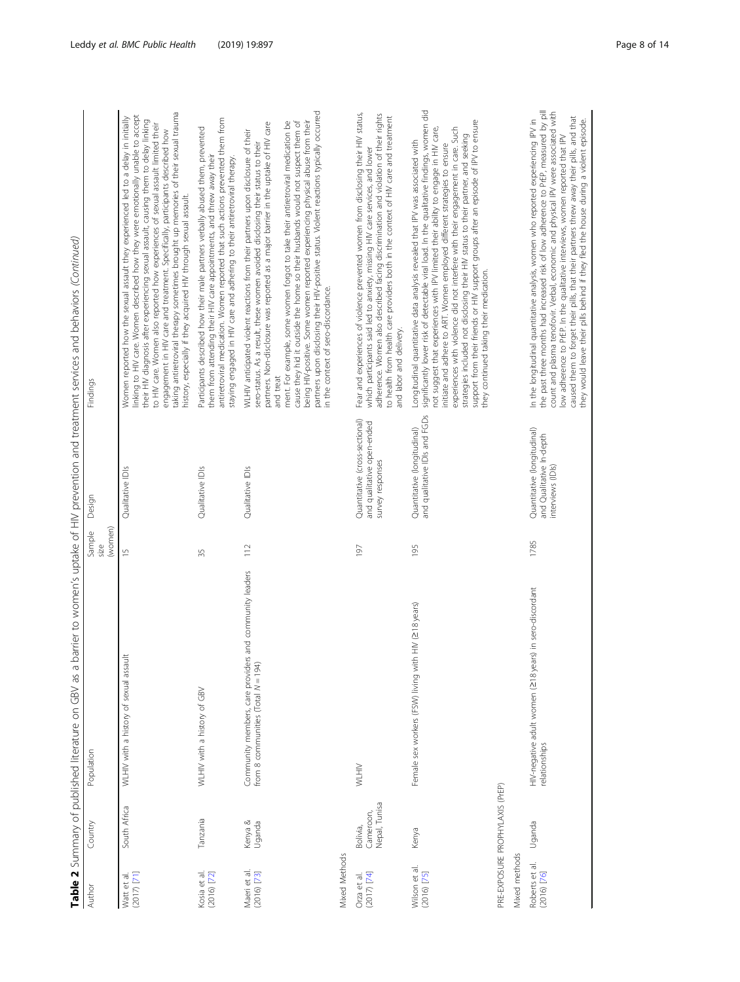| Author                          | Country                                | Population                                                                                       | (women)<br>Sample<br>size | Design                                                                           | Findings                                                                                                                                                                                                                                                                                                                                                                                                                                                                                                                                                                                                                                                        |
|---------------------------------|----------------------------------------|--------------------------------------------------------------------------------------------------|---------------------------|----------------------------------------------------------------------------------|-----------------------------------------------------------------------------------------------------------------------------------------------------------------------------------------------------------------------------------------------------------------------------------------------------------------------------------------------------------------------------------------------------------------------------------------------------------------------------------------------------------------------------------------------------------------------------------------------------------------------------------------------------------------|
| $(2017)$ [71]<br>Watt et al.    | South Africa                           | WLHIV with a history of sexual assault                                                           | $\overline{1}$            | Qualitative IDIs                                                                 | taking antiretroviral therapy sometimes brought up memories of their sexual trauma<br>linking to HIV care. Women described how they were emotionally unable to accept<br>Women reported how the sexual assault they experienced led to a delay in initially<br>their HIV diagnosis after experiencing sexual assault, causing them to delay linking<br>to HIV care. Women also reported how experiences of sexual assault limited their<br>engagement in HIV care and treatment. Specifically, participants described how<br>history, especially if they acquired HIV through sexual assault.                                                                   |
| Kosia et al.<br>$(2016)$ $[72]$ | Tanzania                               | WLHIV with a history of GBV                                                                      | 35                        | Qualitative IDIs                                                                 | antiretroviral medication. Women reported that such actions prevented them from<br>Participants described how their male partners verbally abused them, prevented<br>them from attending their HIV care appointments, and threw away their<br>staying engaged in HIV care and adhering to their antiretroviral therapy.                                                                                                                                                                                                                                                                                                                                         |
| Maeri et al.<br>$(2016)$ [73]   | Kenya &<br>Uganda                      | and community leaders<br>Community members, care providers<br>from 8 communities (Total N = 194) | $\frac{1}{2}$             | Qualitative IDIs                                                                 | partners upon disclosing their HIV-positive status. Violent reactions typically occurred<br>being HIV-positive. Some women reported experiencing physical abuse from their<br>ment. For example, some women forgot to take their antiretroviral medication be<br>cause they hid it outside the home so their husbands would not suspect them of<br>partners. Non-disclosure was reported as a major barrier in the uptake of HIV care<br>WLHIV anticipated violent reactions from their partners upon disclosure of their<br>sero-status. As a result, these women avoided disclosing their status to their<br>in the context of sero-discordance.<br>and treat |
| <b>Mixed Methods</b>            |                                        |                                                                                                  |                           |                                                                                  |                                                                                                                                                                                                                                                                                                                                                                                                                                                                                                                                                                                                                                                                 |
| $(2017)$ [74]<br>Orza et al.    | Nepal, Tunisa<br>Cameroon,<br>Bolivia, | WLHIV                                                                                            | 197                       | Quantitative (cross-sectional)<br>and qualitative open-ended<br>survey responses | Fear and experiences of violence prevented women from disclosing their HIV status,<br>adherence. Women also described facing discrimination and violation of their rights<br>to health from health care providers both in the context of HIV care and treatment<br>which participants said led to anxiety, missing HIV care services, and lower<br>and labor and delivery.                                                                                                                                                                                                                                                                                      |
| Wilson et al.<br>$(2016)$ [75]  | Kenya                                  | HIV (218 years)<br>Female sex workers (FSW) living with                                          | 195                       | and qualitative DIs and FGDs<br>Quantitative (longitudinal)                      | significantly lower risk of detectable viral load. In the qualitative findings, women did<br>support from their friends or HIV support groups after an episode of IPV to ensure<br>not suggest that experiences with IPV limited their ability to engage in HIV care,<br>experiences with violence did not interfere with their engagement in care. Such<br>strategies included not disclosing their HIV status to their partner, and seeking<br>Longitudinal quantitative data analysis revealed that IPV was associated with<br>initiate and adhere to ART. Women employed different strategies to ensure<br>they continued taking their medication.          |
|                                 | PRE-EXPOSURE PROPHYLAXIS (PrEP)        |                                                                                                  |                           |                                                                                  |                                                                                                                                                                                                                                                                                                                                                                                                                                                                                                                                                                                                                                                                 |
| Mixed methods                   |                                        |                                                                                                  |                           |                                                                                  |                                                                                                                                                                                                                                                                                                                                                                                                                                                                                                                                                                                                                                                                 |
| Roberts et al.<br>$(2016)$ [76] | Uganda                                 | HIV-negative adult women (218 years) in sero-discordant<br>relationships                         | 1785                      | Quantitative (longitudinal)<br>and Qualitative In-depth<br>interviews (IDIs)     | the past three months had increased risk of low adherence to PrEP, measured by pill<br>count and plasma tenofovir. Verbal, economic and physical IPV were associated with<br>caused them to forget their pills, that their partners threw away their pills, and that<br>In the longitudinal quantitative analysis, women who reported experiencing IPV in<br>they would leave their pills behind if they fled the house during a violent episode.<br>low adherence to PrEP. In the qualitative interviews, women reported that IPV                                                                                                                              |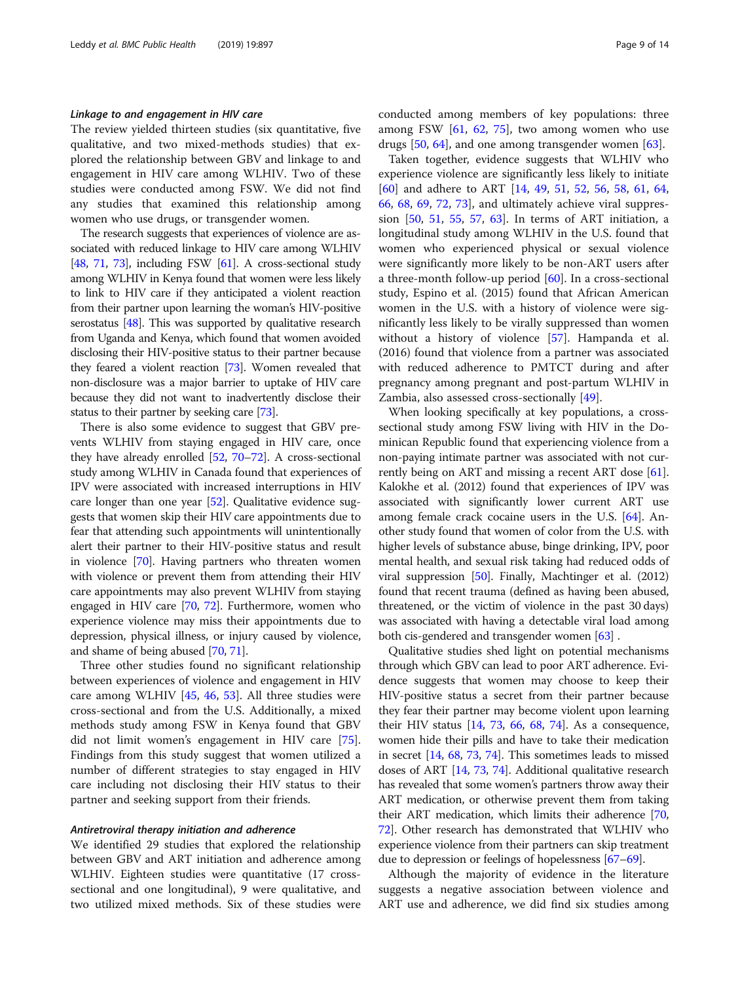#### Linkage to and engagement in HIV care

The review yielded thirteen studies (six quantitative, five qualitative, and two mixed-methods studies) that explored the relationship between GBV and linkage to and engagement in HIV care among WLHIV. Two of these studies were conducted among FSW. We did not find any studies that examined this relationship among women who use drugs, or transgender women.

The research suggests that experiences of violence are associated with reduced linkage to HIV care among WLHIV [[48](#page-12-0), [71,](#page-12-0) [73\]](#page-12-0), including FSW [[61](#page-12-0)]. A cross-sectional study among WLHIV in Kenya found that women were less likely to link to HIV care if they anticipated a violent reaction from their partner upon learning the woman's HIV-positive serostatus [\[48](#page-12-0)]. This was supported by qualitative research from Uganda and Kenya, which found that women avoided disclosing their HIV-positive status to their partner because they feared a violent reaction [[73](#page-12-0)]. Women revealed that non-disclosure was a major barrier to uptake of HIV care because they did not want to inadvertently disclose their status to their partner by seeking care [\[73\]](#page-12-0).

There is also some evidence to suggest that GBV prevents WLHIV from staying engaged in HIV care, once they have already enrolled [\[52,](#page-12-0) [70](#page-12-0)–[72\]](#page-12-0). A cross-sectional study among WLHIV in Canada found that experiences of IPV were associated with increased interruptions in HIV care longer than one year [\[52\]](#page-12-0). Qualitative evidence suggests that women skip their HIV care appointments due to fear that attending such appointments will unintentionally alert their partner to their HIV-positive status and result in violence [\[70\]](#page-12-0). Having partners who threaten women with violence or prevent them from attending their HIV care appointments may also prevent WLHIV from staying engaged in HIV care [[70](#page-12-0), [72](#page-12-0)]. Furthermore, women who experience violence may miss their appointments due to depression, physical illness, or injury caused by violence, and shame of being abused [[70](#page-12-0), [71\]](#page-12-0).

Three other studies found no significant relationship between experiences of violence and engagement in HIV care among WLHIV [[45,](#page-12-0) [46](#page-12-0), [53\]](#page-12-0). All three studies were cross-sectional and from the U.S. Additionally, a mixed methods study among FSW in Kenya found that GBV did not limit women's engagement in HIV care [\[75](#page-12-0)]. Findings from this study suggest that women utilized a number of different strategies to stay engaged in HIV care including not disclosing their HIV status to their partner and seeking support from their friends.

# Antiretroviral therapy initiation and adherence

We identified 29 studies that explored the relationship between GBV and ART initiation and adherence among WLHIV. Eighteen studies were quantitative (17 crosssectional and one longitudinal), 9 were qualitative, and two utilized mixed methods. Six of these studies were conducted among members of key populations: three among FSW [[61](#page-12-0), [62,](#page-12-0) [75](#page-12-0)], two among women who use drugs [[50](#page-12-0), [64](#page-12-0)], and one among transgender women [\[63](#page-12-0)].

Taken together, evidence suggests that WLHIV who experience violence are significantly less likely to initiate [[60\]](#page-12-0) and adhere to ART [\[14](#page-11-0), [49](#page-12-0), [51](#page-12-0), [52](#page-12-0), [56](#page-12-0), [58](#page-12-0), [61](#page-12-0), [64](#page-12-0), [66,](#page-12-0) [68](#page-12-0), [69,](#page-12-0) [72](#page-12-0), [73\]](#page-12-0), and ultimately achieve viral suppression [\[50,](#page-12-0) [51](#page-12-0), [55,](#page-12-0) [57](#page-12-0), [63](#page-12-0)]. In terms of ART initiation, a longitudinal study among WLHIV in the U.S. found that women who experienced physical or sexual violence were significantly more likely to be non-ART users after a three-month follow-up period [\[60](#page-12-0)]. In a cross-sectional study, Espino et al. (2015) found that African American women in the U.S. with a history of violence were significantly less likely to be virally suppressed than women without a history of violence [[57\]](#page-12-0). Hampanda et al. (2016) found that violence from a partner was associated with reduced adherence to PMTCT during and after pregnancy among pregnant and post-partum WLHIV in Zambia, also assessed cross-sectionally [[49\]](#page-12-0).

When looking specifically at key populations, a crosssectional study among FSW living with HIV in the Dominican Republic found that experiencing violence from a non-paying intimate partner was associated with not currently being on ART and missing a recent ART dose [[61](#page-12-0)]. Kalokhe et al. (2012) found that experiences of IPV was associated with significantly lower current ART use among female crack cocaine users in the U.S. [[64](#page-12-0)]. Another study found that women of color from the U.S. with higher levels of substance abuse, binge drinking, IPV, poor mental health, and sexual risk taking had reduced odds of viral suppression [\[50](#page-12-0)]. Finally, Machtinger et al. (2012) found that recent trauma (defined as having been abused, threatened, or the victim of violence in the past 30 days) was associated with having a detectable viral load among both cis-gendered and transgender women [[63](#page-12-0)] .

Qualitative studies shed light on potential mechanisms through which GBV can lead to poor ART adherence. Evidence suggests that women may choose to keep their HIV-positive status a secret from their partner because they fear their partner may become violent upon learning their HIV status  $[14, 73, 66, 68, 74]$  $[14, 73, 66, 68, 74]$  $[14, 73, 66, 68, 74]$  $[14, 73, 66, 68, 74]$  $[14, 73, 66, 68, 74]$  $[14, 73, 66, 68, 74]$  $[14, 73, 66, 68, 74]$  $[14, 73, 66, 68, 74]$  $[14, 73, 66, 68, 74]$  $[14, 73, 66, 68, 74]$  $[14, 73, 66, 68, 74]$ . As a consequence, women hide their pills and have to take their medication in secret [[14](#page-11-0), [68](#page-12-0), [73,](#page-12-0) [74\]](#page-12-0). This sometimes leads to missed doses of ART [[14](#page-11-0), [73](#page-12-0), [74](#page-12-0)]. Additional qualitative research has revealed that some women's partners throw away their ART medication, or otherwise prevent them from taking their ART medication, which limits their adherence [[70](#page-12-0), [72](#page-12-0)]. Other research has demonstrated that WLHIV who experience violence from their partners can skip treatment due to depression or feelings of hopelessness [\[67](#page-12-0)–[69](#page-12-0)].

Although the majority of evidence in the literature suggests a negative association between violence and ART use and adherence, we did find six studies among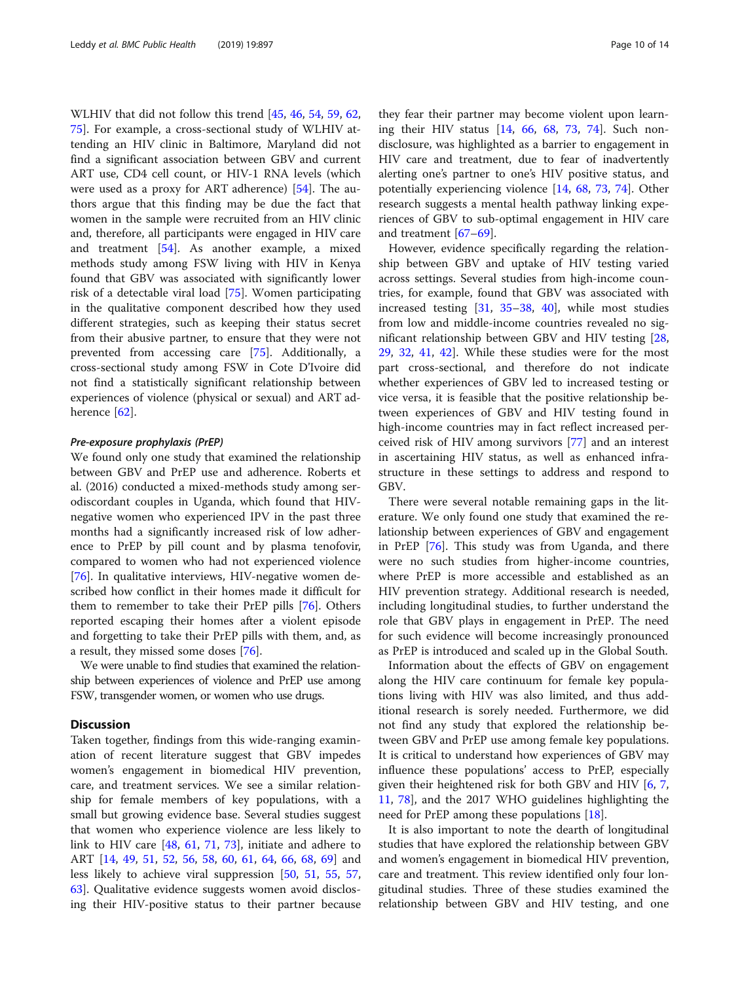WLHIV that did not follow this trend [[45](#page-12-0), [46](#page-12-0), [54](#page-12-0), [59](#page-12-0), [62](#page-12-0), [75\]](#page-12-0). For example, a cross-sectional study of WLHIV attending an HIV clinic in Baltimore, Maryland did not find a significant association between GBV and current ART use, CD4 cell count, or HIV-1 RNA levels (which were used as a proxy for ART adherence) [[54](#page-12-0)]. The authors argue that this finding may be due the fact that women in the sample were recruited from an HIV clinic and, therefore, all participants were engaged in HIV care and treatment [[54\]](#page-12-0). As another example, a mixed methods study among FSW living with HIV in Kenya found that GBV was associated with significantly lower risk of a detectable viral load [\[75\]](#page-12-0). Women participating in the qualitative component described how they used different strategies, such as keeping their status secret from their abusive partner, to ensure that they were not prevented from accessing care [\[75\]](#page-12-0). Additionally, a cross-sectional study among FSW in Cote D'Ivoire did not find a statistically significant relationship between experiences of violence (physical or sexual) and ART ad-herence [[62\]](#page-12-0).

## Pre-exposure prophylaxis (PrEP)

We found only one study that examined the relationship between GBV and PrEP use and adherence. Roberts et al. (2016) conducted a mixed-methods study among serodiscordant couples in Uganda, which found that HIVnegative women who experienced IPV in the past three months had a significantly increased risk of low adherence to PrEP by pill count and by plasma tenofovir, compared to women who had not experienced violence [[76\]](#page-12-0). In qualitative interviews, HIV-negative women described how conflict in their homes made it difficult for them to remember to take their PrEP pills [\[76](#page-12-0)]. Others reported escaping their homes after a violent episode and forgetting to take their PrEP pills with them, and, as a result, they missed some doses [\[76\]](#page-12-0).

We were unable to find studies that examined the relationship between experiences of violence and PrEP use among FSW, transgender women, or women who use drugs.

## **Discussion**

Taken together, findings from this wide-ranging examination of recent literature suggest that GBV impedes women's engagement in biomedical HIV prevention, care, and treatment services. We see a similar relationship for female members of key populations, with a small but growing evidence base. Several studies suggest that women who experience violence are less likely to link to HIV care [\[48,](#page-12-0) [61,](#page-12-0) [71,](#page-12-0) [73\]](#page-12-0), initiate and adhere to ART [\[14,](#page-11-0) [49,](#page-12-0) [51,](#page-12-0) [52,](#page-12-0) [56,](#page-12-0) [58,](#page-12-0) [60,](#page-12-0) [61,](#page-12-0) [64,](#page-12-0) [66](#page-12-0), [68](#page-12-0), [69](#page-12-0)] and less likely to achieve viral suppression [[50](#page-12-0), [51](#page-12-0), [55,](#page-12-0) [57](#page-12-0), [63\]](#page-12-0). Qualitative evidence suggests women avoid disclosing their HIV-positive status to their partner because they fear their partner may become violent upon learning their HIV status [[14](#page-11-0), [66,](#page-12-0) [68](#page-12-0), [73](#page-12-0), [74\]](#page-12-0). Such nondisclosure, was highlighted as a barrier to engagement in HIV care and treatment, due to fear of inadvertently alerting one's partner to one's HIV positive status, and potentially experiencing violence [[14,](#page-11-0) [68](#page-12-0), [73](#page-12-0), [74](#page-12-0)]. Other research suggests a mental health pathway linking experiences of GBV to sub-optimal engagement in HIV care and treatment [[67](#page-12-0)–[69](#page-12-0)].

However, evidence specifically regarding the relationship between GBV and uptake of HIV testing varied across settings. Several studies from high-income countries, for example, found that GBV was associated with increased testing [[31,](#page-11-0) [35](#page-11-0)–[38](#page-11-0), [40\]](#page-11-0), while most studies from low and middle-income countries revealed no significant relationship between GBV and HIV testing [[28](#page-11-0), [29,](#page-11-0) [32](#page-11-0), [41](#page-11-0), [42\]](#page-11-0). While these studies were for the most part cross-sectional, and therefore do not indicate whether experiences of GBV led to increased testing or vice versa, it is feasible that the positive relationship between experiences of GBV and HIV testing found in high-income countries may in fact reflect increased perceived risk of HIV among survivors [[77](#page-12-0)] and an interest in ascertaining HIV status, as well as enhanced infrastructure in these settings to address and respond to GBV.

There were several notable remaining gaps in the literature. We only found one study that examined the relationship between experiences of GBV and engagement in PrEP [[76](#page-12-0)]. This study was from Uganda, and there were no such studies from higher-income countries, where PrEP is more accessible and established as an HIV prevention strategy. Additional research is needed, including longitudinal studies, to further understand the role that GBV plays in engagement in PrEP. The need for such evidence will become increasingly pronounced as PrEP is introduced and scaled up in the Global South.

Information about the effects of GBV on engagement along the HIV care continuum for female key populations living with HIV was also limited, and thus additional research is sorely needed. Furthermore, we did not find any study that explored the relationship between GBV and PrEP use among female key populations. It is critical to understand how experiences of GBV may influence these populations' access to PrEP, especially given their heightened risk for both GBV and HIV [\[6,](#page-11-0) [7](#page-11-0), [11,](#page-11-0) [78](#page-12-0)], and the 2017 WHO guidelines highlighting the need for PrEP among these populations [[18](#page-11-0)].

It is also important to note the dearth of longitudinal studies that have explored the relationship between GBV and women's engagement in biomedical HIV prevention, care and treatment. This review identified only four longitudinal studies. Three of these studies examined the relationship between GBV and HIV testing, and one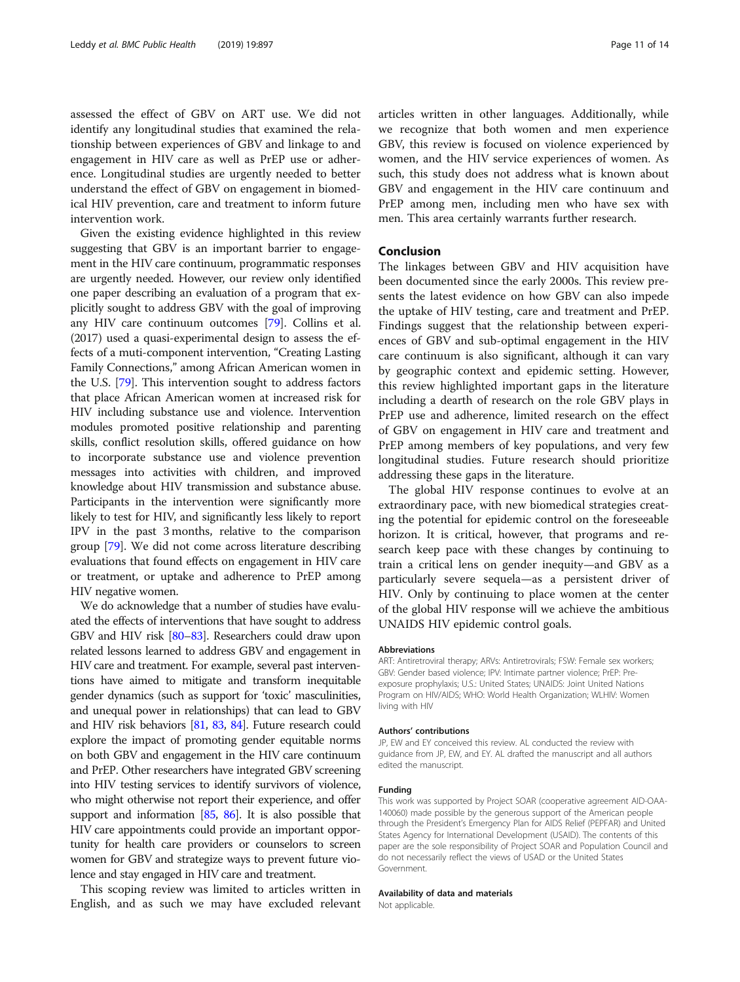assessed the effect of GBV on ART use. We did not identify any longitudinal studies that examined the relationship between experiences of GBV and linkage to and engagement in HIV care as well as PrEP use or adherence. Longitudinal studies are urgently needed to better understand the effect of GBV on engagement in biomedical HIV prevention, care and treatment to inform future intervention work.

Given the existing evidence highlighted in this review suggesting that GBV is an important barrier to engagement in the HIV care continuum, programmatic responses are urgently needed. However, our review only identified one paper describing an evaluation of a program that explicitly sought to address GBV with the goal of improving any HIV care continuum outcomes [[79](#page-12-0)]. Collins et al. (2017) used a quasi-experimental design to assess the effects of a muti-component intervention, "Creating Lasting Family Connections," among African American women in the U.S. [[79](#page-12-0)]. This intervention sought to address factors that place African American women at increased risk for HIV including substance use and violence. Intervention modules promoted positive relationship and parenting skills, conflict resolution skills, offered guidance on how to incorporate substance use and violence prevention messages into activities with children, and improved knowledge about HIV transmission and substance abuse. Participants in the intervention were significantly more likely to test for HIV, and significantly less likely to report IPV in the past 3 months, relative to the comparison group [[79\]](#page-12-0). We did not come across literature describing evaluations that found effects on engagement in HIV care or treatment, or uptake and adherence to PrEP among HIV negative women.

We do acknowledge that a number of studies have evaluated the effects of interventions that have sought to address GBV and HIV risk [[80](#page-12-0)–[83](#page-12-0)]. Researchers could draw upon related lessons learned to address GBV and engagement in HIV care and treatment. For example, several past interventions have aimed to mitigate and transform inequitable gender dynamics (such as support for 'toxic' masculinities, and unequal power in relationships) that can lead to GBV and HIV risk behaviors [\[81](#page-12-0), [83](#page-12-0), [84](#page-13-0)]. Future research could explore the impact of promoting gender equitable norms on both GBV and engagement in the HIV care continuum and PrEP. Other researchers have integrated GBV screening into HIV testing services to identify survivors of violence, who might otherwise not report their experience, and offer support and information [\[85,](#page-13-0) [86\]](#page-13-0). It is also possible that HIV care appointments could provide an important opportunity for health care providers or counselors to screen women for GBV and strategize ways to prevent future violence and stay engaged in HIV care and treatment.

This scoping review was limited to articles written in English, and as such we may have excluded relevant articles written in other languages. Additionally, while we recognize that both women and men experience GBV, this review is focused on violence experienced by women, and the HIV service experiences of women. As such, this study does not address what is known about GBV and engagement in the HIV care continuum and PrEP among men, including men who have sex with men. This area certainly warrants further research.

# Conclusion

The linkages between GBV and HIV acquisition have been documented since the early 2000s. This review presents the latest evidence on how GBV can also impede the uptake of HIV testing, care and treatment and PrEP. Findings suggest that the relationship between experiences of GBV and sub-optimal engagement in the HIV care continuum is also significant, although it can vary by geographic context and epidemic setting. However, this review highlighted important gaps in the literature including a dearth of research on the role GBV plays in PrEP use and adherence, limited research on the effect of GBV on engagement in HIV care and treatment and PrEP among members of key populations, and very few longitudinal studies. Future research should prioritize addressing these gaps in the literature.

The global HIV response continues to evolve at an extraordinary pace, with new biomedical strategies creating the potential for epidemic control on the foreseeable horizon. It is critical, however, that programs and research keep pace with these changes by continuing to train a critical lens on gender inequity—and GBV as a particularly severe sequela—as a persistent driver of HIV. Only by continuing to place women at the center of the global HIV response will we achieve the ambitious UNAIDS HIV epidemic control goals.

### Abbreviations

ART: Antiretroviral therapy; ARVs: Antiretrovirals; FSW: Female sex workers; GBV: Gender based violence; IPV: Intimate partner violence; PrEP: Preexposure prophylaxis; U.S.: United States; UNAIDS: Joint United Nations Program on HIV/AIDS; WHO: World Health Organization; WLHIV: Women living with HIV

#### Authors' contributions

JP, EW and EY conceived this review. AL conducted the review with guidance from JP, EW, and EY. AL drafted the manuscript and all authors edited the manuscript.

#### Funding

This work was supported by Project SOAR (cooperative agreement AID-OAA-140060) made possible by the generous support of the American people through the President's Emergency Plan for AIDS Relief (PEPFAR) and United States Agency for International Development (USAID). The contents of this paper are the sole responsibility of Project SOAR and Population Council and do not necessarily reflect the views of USAD or the United States Government.

## Availability of data and materials

Not applicable.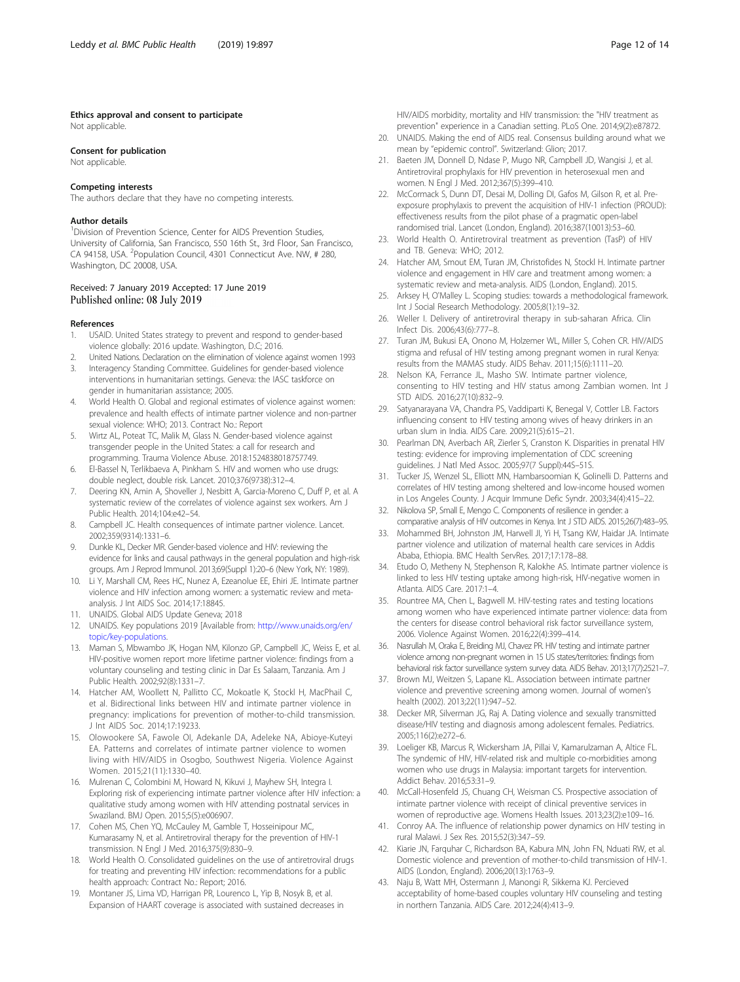# <span id="page-11-0"></span>Ethics approval and consent to participate

Not applicable.

# Consent for publication

Not applicable.

# Competing interests

The authors declare that they have no competing interests.

#### Author details

<sup>1</sup> Division of Prevention Science, Center for AIDS Prevention Studies, University of California, San Francisco, 550 16th St., 3rd Floor, San Francisco, CA 94158, USA. <sup>2</sup>Population Council, 4301 Connecticut Ave. NW, # 280, Washington, DC 20008, USA.

#### Received: 7 January 2019 Accepted: 17 June 2019 Published online: 08 July 2019

#### References

- 1. USAID. United States strategy to prevent and respond to gender-based violence globally: 2016 update. Washington, D.C; 2016.
- 2. United Nations. Declaration on the elimination of violence against women 1993
- 3. Interagency Standing Committee. Guidelines for gender-based violence interventions in humanitarian settings. Geneva: the IASC taskforce on gender in humanitarian assistance; 2005.
- 4. World Health O. Global and regional estimates of violence against women: prevalence and health effects of intimate partner violence and non-partner sexual violence: WHO; 2013. Contract No.: Report
- 5. Wirtz AL, Poteat TC, Malik M, Glass N. Gender-based violence against transgender people in the United States: a call for research and programming. Trauma Violence Abuse. 2018:1524838018757749.
- 6. El-Bassel N, Terlikbaeva A, Pinkham S. HIV and women who use drugs: double neglect, double risk. Lancet. 2010;376(9738):312–4.
- 7. Deering KN, Amin A, Shoveller J, Nesbitt A, Garcia-Moreno C, Duff P, et al. A systematic review of the correlates of violence against sex workers. Am J Public Health. 2014;104:e42–54.
- 8. Campbell JC. Health consequences of intimate partner violence. Lancet. 2002;359(9314):1331–6.
- 9. Dunkle KL, Decker MR. Gender-based violence and HIV: reviewing the evidence for links and causal pathways in the general population and high-risk groups. Am J Reprod Immunol. 2013;69(Suppl 1):20–6 (New York, NY: 1989).
- 10. Li Y, Marshall CM, Rees HC, Nunez A, Ezeanolue EE, Ehiri JE. Intimate partner violence and HIV infection among women: a systematic review and metaanalysis. J Int AIDS Soc. 2014;17:18845.
- 11. UNAIDS. Global AIDS Update Geneva; 2018
- 12. UNAIDS. Key populations 2019 [Available from: [http://www.unaids.org/en/](http://www.unaids.org/en/topic/key-populations) [topic/key-populations.](http://www.unaids.org/en/topic/key-populations)
- 13. Maman S, Mbwambo JK, Hogan NM, Kilonzo GP, Campbell JC, Weiss E, et al. HIV-positive women report more lifetime partner violence: findings from a voluntary counseling and testing clinic in Dar Es Salaam, Tanzania. Am J Public Health. 2002;92(8):1331–7.
- 14. Hatcher AM, Woollett N, Pallitto CC, Mokoatle K, Stockl H, MacPhail C, et al. Bidirectional links between HIV and intimate partner violence in pregnancy: implications for prevention of mother-to-child transmission. J Int AIDS Soc. 2014;17:19233.
- 15. Olowookere SA, Fawole OI, Adekanle DA, Adeleke NA, Abioye-Kuteyi EA. Patterns and correlates of intimate partner violence to women living with HIV/AIDS in Osogbo, Southwest Nigeria. Violence Against Women. 2015;21(11):1330–40.
- 16. Mulrenan C, Colombini M, Howard N, Kikuvi J, Mayhew SH, Integra I. Exploring risk of experiencing intimate partner violence after HIV infection: a qualitative study among women with HIV attending postnatal services in Swaziland. BMJ Open. 2015;5(5):e006907.
- 17. Cohen MS, Chen YQ, McCauley M, Gamble T, Hosseinipour MC, Kumarasamy N, et al. Antiretroviral therapy for the prevention of HIV-1 transmission. N Engl J Med. 2016;375(9):830–9.
- 18. World Health O. Consolidated guidelines on the use of antiretroviral drugs for treating and preventing HIV infection: recommendations for a public health approach: Contract No.: Report; 2016.
- 19. Montaner JS, Lima VD, Harrigan PR, Lourenco L, Yip B, Nosyk B, et al. Expansion of HAART coverage is associated with sustained decreases in

HIV/AIDS morbidity, mortality and HIV transmission: the "HIV treatment as

- prevention" experience in a Canadian setting. PLoS One. 2014;9(2):e87872. 20. UNAIDS. Making the end of AIDS real. Consensus building around what we mean by "epidemic control". Switzerland: Glion; 2017.
- 21. Baeten JM, Donnell D, Ndase P, Mugo NR, Campbell JD, Wangisi J, et al. Antiretroviral prophylaxis for HIV prevention in heterosexual men and women. N Engl J Med. 2012;367(5):399–410.
- 22. McCormack S, Dunn DT, Desai M, Dolling DI, Gafos M, Gilson R, et al. Preexposure prophylaxis to prevent the acquisition of HIV-1 infection (PROUD): effectiveness results from the pilot phase of a pragmatic open-label randomised trial. Lancet (London, England). 2016;387(10013):53–60.
- 23. World Health O. Antiretroviral treatment as prevention (TasP) of HIV and TB. Geneva: WHO; 2012.
- 24. Hatcher AM, Smout EM, Turan JM, Christofides N, Stockl H. Intimate partner violence and engagement in HIV care and treatment among women: a systematic review and meta-analysis. AIDS (London, England). 2015.
- 25. Arksey H, O'Malley L. Scoping studies: towards a methodological framework. Int J Social Research Methodology. 2005;8(1):19–32.
- 26. Weller I. Delivery of antiretroviral therapy in sub-saharan Africa. Clin Infect Dis. 2006;43(6):777–8.
- 27. Turan JM, Bukusi EA, Onono M, Holzemer WL, Miller S, Cohen CR. HIV/AIDS stigma and refusal of HIV testing among pregnant women in rural Kenya: results from the MAMAS study. AIDS Behav. 2011;15(6):1111–20.
- 28. Nelson KA, Ferrance JL, Masho SW. Intimate partner violence, consenting to HIV testing and HIV status among Zambian women. Int J STD AIDS. 2016;27(10):832–9.
- 29. Satyanarayana VA, Chandra PS, Vaddiparti K, Benegal V, Cottler LB. Factors influencing consent to HIV testing among wives of heavy drinkers in an urban slum in India. AIDS Care. 2009;21(5):615–21.
- 30. Pearlman DN, Averbach AR, Zierler S, Cranston K. Disparities in prenatal HIV testing: evidence for improving implementation of CDC screening guidelines. J Natl Med Assoc. 2005;97(7 Suppl):44S–51S.
- 31. Tucker JS, Wenzel SL, Elliott MN, Hambarsoomian K, Golinelli D. Patterns and correlates of HIV testing among sheltered and low-income housed women in Los Angeles County. J Acquir Immune Defic Syndr. 2003;34(4):415–22.
- 32. Nikolova SP, Small E, Mengo C. Components of resilience in gender: a comparative analysis of HIV outcomes in Kenya. Int J STD AIDS. 2015;26(7):483–95.
- 33. Mohammed BH, Johnston JM, Harwell JI, Yi H, Tsang KW, Haidar JA. Intimate partner violence and utilization of maternal health care services in Addis Ababa, Ethiopia. BMC Health ServRes. 2017;17:178–88.
- 34. Etudo O, Metheny N, Stephenson R, Kalokhe AS. Intimate partner violence is linked to less HIV testing uptake among high-risk, HIV-negative women in Atlanta. AIDS Care. 2017:1–4.
- 35. Rountree MA, Chen L, Bagwell M. HIV-testing rates and testing locations among women who have experienced intimate partner violence: data from the centers for disease control behavioral risk factor surveillance system, 2006. Violence Against Women. 2016;22(4):399–414.
- 36. Nasrullah M, Oraka E, Breiding MJ, Chavez PR. HIV testing and intimate partner violence among non-pregnant women in 15 US states/territories: findings from behavioral risk factor surveillance system survey data. AIDS Behav. 2013;17(7):2521–7.
- 37. Brown MJ, Weitzen S, Lapane KL. Association between intimate partner violence and preventive screening among women. Journal of women's health (2002). 2013;22(11):947–52.
- 38. Decker MR, Silverman JG, Raj A. Dating violence and sexually transmitted disease/HIV testing and diagnosis among adolescent females. Pediatrics. 2005;116(2):e272–6.
- 39. Loeliger KB, Marcus R, Wickersham JA, Pillai V, Kamarulzaman A, Altice FL. The syndemic of HIV, HIV-related risk and multiple co-morbidities among women who use drugs in Malaysia: important targets for intervention. Addict Behav. 2016;53:31–9.
- 40. McCall-Hosenfeld JS, Chuang CH, Weisman CS. Prospective association of intimate partner violence with receipt of clinical preventive services in women of reproductive age. Womens Health Issues. 2013;23(2):e109–16.
- 41. Conroy AA. The influence of relationship power dynamics on HIV testing in rural Malawi. J Sex Res. 2015;52(3):347–59.
- 42. Kiarie JN, Farquhar C, Richardson BA, Kabura MN, John FN, Nduati RW, et al. Domestic violence and prevention of mother-to-child transmission of HIV-1. AIDS (London, England). 2006;20(13):1763–9.
- 43. Naju B, Watt MH, Ostermann J, Manongi R, Sikkema KJ. Percieved acceptability of home-based couples voluntary HIV counseling and testing in northern Tanzania. AIDS Care. 2012;24(4):413–9.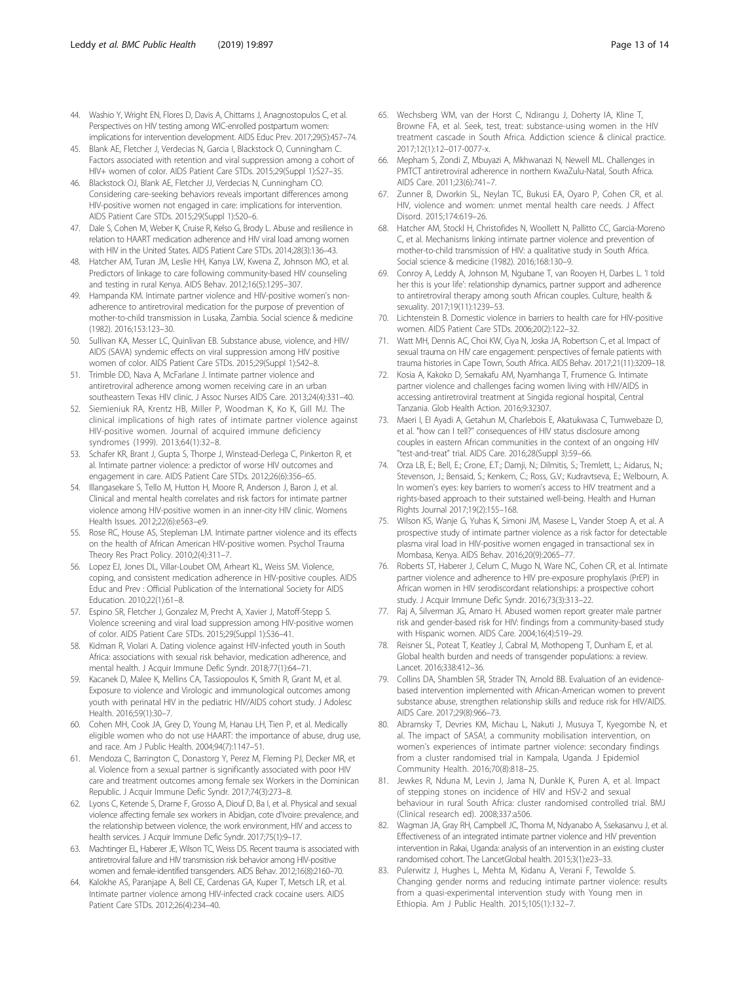- <span id="page-12-0"></span>44. Washio Y, Wright EN, Flores D, Davis A, Chittams J, Anagnostopulos C, et al. Perspectives on HIV testing among WIC-enrolled postpartum women: implications for intervention development. AIDS Educ Prev. 2017;29(5):457–74.
- 45. Blank AE, Fletcher J, Verdecias N, Garcia I, Blackstock O, Cunningham C. Factors associated with retention and viral suppression among a cohort of HIV+ women of color. AIDS Patient Care STDs. 2015;29(Suppl 1):S27–35.
- 46. Blackstock OJ, Blank AE, Fletcher JJ, Verdecias N, Cunningham CO. Considering care-seeking behaviors reveals important differences among HIV-positive women not engaged in care: implications for intervention. AIDS Patient Care STDs. 2015;29(Suppl 1):S20–6.
- 47. Dale S, Cohen M, Weber K, Cruise R, Kelso G, Brody L. Abuse and resilience in relation to HAART medication adherence and HIV viral load among women with HIV in the United States. AIDS Patient Care STDs. 2014;28(3):136–43.
- 48. Hatcher AM, Turan JM, Leslie HH, Kanya LW, Kwena Z, Johnson MO, et al. Predictors of linkage to care following community-based HIV counseling and testing in rural Kenya. AIDS Behav. 2012;16(5):1295–307.
- 49. Hampanda KM. Intimate partner violence and HIV-positive women's nonadherence to antiretroviral medication for the purpose of prevention of mother-to-child transmission in Lusaka, Zambia. Social science & medicine (1982). 2016;153:123–30.
- 50. Sullivan KA, Messer LC, Quinlivan EB. Substance abuse, violence, and HIV/ AIDS (SAVA) syndemic effects on viral suppression among HIV positive women of color. AIDS Patient Care STDs. 2015;29(Suppl 1):S42–8.
- 51. Trimble DD, Nava A, McFarlane J. Intimate partner violence and antiretroviral adherence among women receiving care in an urban southeastern Texas HIV clinic. J Assoc Nurses AIDS Care. 2013;24(4):331–40.
- 52. Siemieniuk RA, Krentz HB, Miller P, Woodman K, Ko K, Gill MJ. The clinical implications of high rates of intimate partner violence against HIV-positive women. Journal of acquired immune deficiency syndromes (1999). 2013;64(1):32–8.
- 53. Schafer KR, Brant J, Gupta S, Thorpe J, Winstead-Derlega C, Pinkerton R, et al. Intimate partner violence: a predictor of worse HIV outcomes and engagement in care. AIDS Patient Care STDs. 2012;26(6):356–65.
- 54. Illangasekare S, Tello M, Hutton H, Moore R, Anderson J, Baron J, et al. Clinical and mental health correlates and risk factors for intimate partner violence among HIV-positive women in an inner-city HIV clinic. Womens Health Issues. 2012;22(6):e563–e9.
- 55. Rose RC, House AS, Stepleman LM. Intimate partner violence and its effects on the health of African American HIV-positive women. Psychol Trauma Theory Res Pract Policy. 2010;2(4):311–7.
- 56. Lopez EJ, Jones DL, Villar-Loubet OM, Arheart KL, Weiss SM. Violence, coping, and consistent medication adherence in HIV-positive couples. AIDS Educ and Prev : Official Publication of the International Society for AIDS Education. 2010;22(1):61–8.
- 57. Espino SR, Fletcher J, Gonzalez M, Precht A, Xavier J, Matoff-Stepp S. Violence screening and viral load suppression among HIV-positive women of color. AIDS Patient Care STDs. 2015;29(Suppl 1):S36–41.
- 58. Kidman R, Violari A. Dating violence against HIV-infected youth in South Africa: associations with sexual risk behavior, medication adherence, and mental health. J Acquir Immune Defic Syndr. 2018;77(1):64–71.
- 59. Kacanek D, Malee K, Mellins CA, Tassiopoulos K, Smith R, Grant M, et al. Exposure to violence and Virologic and immunological outcomes among youth with perinatal HIV in the pediatric HIV/AIDS cohort study. J Adolesc Health. 2016;59(1):30–7.
- 60. Cohen MH, Cook JA, Grey D, Young M, Hanau LH, Tien P, et al. Medically eligible women who do not use HAART: the importance of abuse, drug use, and race. Am J Public Health. 2004;94(7):1147–51.
- 61. Mendoza C, Barrington C, Donastorg Y, Perez M, Fleming PJ, Decker MR, et al. Violence from a sexual partner is significantly associated with poor HIV care and treatment outcomes among female sex Workers in the Dominican Republic. J Acquir Immune Defic Syndr. 2017;74(3):273–8.
- 62. Lyons C, Ketende S, Drame F, Grosso A, Diouf D, Ba I, et al. Physical and sexual violence affecting female sex workers in Abidjan, cote d'Ivoire: prevalence, and the relationship between violence, the work environment, HIV and access to health services. J Acquir Immune Defic Syndr. 2017;75(1):9–17.
- 63. Machtinger EL, Haberer JE, Wilson TC, Weiss DS. Recent trauma is associated with antiretroviral failure and HIV transmission risk behavior among HIV-positive women and female-identified transgenders. AIDS Behav. 2012;16(8):2160–70.
- 64. Kalokhe AS, Paranjape A, Bell CE, Cardenas GA, Kuper T, Metsch LR, et al. Intimate partner violence among HIV-infected crack cocaine users. AIDS Patient Care STDs. 2012;26(4):234–40.
- 65. Wechsberg WM, van der Horst C, Ndirangu J, Doherty IA, Kline T, Browne FA, et al. Seek, test, treat: substance-using women in the HIV treatment cascade in South Africa. Addiction science & clinical practice. 2017;12(1):12–017-0077-x.
- 66. Mepham S, Zondi Z, Mbuyazi A, Mkhwanazi N, Newell ML. Challenges in PMTCT antiretroviral adherence in northern KwaZulu-Natal, South Africa. AIDS Care. 2011;23(6):741–7.
- 67. Zunner B, Dworkin SL, Neylan TC, Bukusi EA, Oyaro P, Cohen CR, et al. HIV, violence and women: unmet mental health care needs. J Affect Disord. 2015;174:619–26.
- 68. Hatcher AM, Stockl H, Christofides N, Woollett N, Pallitto CC, Garcia-Moreno C, et al. Mechanisms linking intimate partner violence and prevention of mother-to-child transmission of HIV: a qualitative study in South Africa. Social science & medicine (1982). 2016;168:130–9.
- 69. Conroy A, Leddy A, Johnson M, Ngubane T, van Rooyen H, Darbes L. 'I told her this is your life': relationship dynamics, partner support and adherence to antiretroviral therapy among south African couples. Culture, health & sexuality. 2017;19(11):1239–53.
- 70. Lichtenstein B. Domestic violence in barriers to health care for HIV-positive women. AIDS Patient Care STDs. 2006;20(2):122–32.
- 71. Watt MH, Dennis AC, Choi KW, Ciya N, Joska JA, Robertson C, et al. Impact of sexual trauma on HIV care engagement: perspectives of female patients with trauma histories in Cape Town, South Africa. AIDS Behav. 2017;21(11):3209–18.
- 72. Kosia A, Kakoko D, Semakafu AM, Nyamhanga T, Frumence G. Intimate partner violence and challenges facing women living with HIV/AIDS in accessing antiretroviral treatment at Singida regional hospital, Central Tanzania. Glob Health Action. 2016;9:32307.
- 73. Maeri I, El Ayadi A, Getahun M, Charlebois E, Akatukwasa C, Tumwebaze D, et al. "how can I tell?" consequences of HIV status disclosure among couples in eastern African communities in the context of an ongoing HIV "test-and-treat" trial. AIDS Care. 2016;28(Suppl 3):59–66.
- 74. Orza LB, E.; Bell, E.; Crone, E.T.; Damji, N.; Dilmitis, S.; Tremlett, L.; Aidarus, N.; Stevenson, J.; Bensaid, S.; Kenkem, C.; Ross, G.V.; Kudravtseva, E.; Welbourn, A. In women's eyes: key barriers to women's access to HIV treatment and a rights-based approach to their sutstained well-being. Health and Human Rights Journal 2017;19(2):155–168.
- 75. Wilson KS, Wanje G, Yuhas K, Simoni JM, Masese L, Vander Stoep A, et al. A prospective study of intimate partner violence as a risk factor for detectable plasma viral load in HIV-positive women engaged in transactional sex in Mombasa, Kenya. AIDS Behav. 2016;20(9):2065–77.
- 76. Roberts ST, Haberer J, Celum C, Mugo N, Ware NC, Cohen CR, et al. Intimate partner violence and adherence to HIV pre-exposure prophylaxis (PrEP) in African women in HIV serodiscordant relationships: a prospective cohort study. J Acquir Immune Defic Syndr. 2016;73(3):313–22.
- 77. Raj A, Silverman JG, Amaro H. Abused women report greater male partner risk and gender-based risk for HIV: findings from a community-based study with Hispanic women. AIDS Care. 2004;16(4):519–29.
- 78. Reisner SL, Poteat T, Keatley J, Cabral M, Mothopeng T, Dunham E, et al. Global health burden and needs of transgender populations: a review. Lancet. 2016;338:412–36.
- 79. Collins DA, Shamblen SR, Strader TN, Arnold BB. Evaluation of an evidencebased intervention implemented with African-American women to prevent substance abuse, strengthen relationship skills and reduce risk for HIV/AIDS. AIDS Care. 2017;29(8):966–73.
- 80. Abramsky T, Devries KM, Michau L, Nakuti J, Musuya T, Kyegombe N, et al. The impact of SASA!, a community mobilisation intervention, on women's experiences of intimate partner violence: secondary findings from a cluster randomised trial in Kampala, Uganda. J Epidemiol Community Health. 2016;70(8):818–25.
- 81. Jewkes R, Nduna M, Levin J, Jama N, Dunkle K, Puren A, et al. Impact of stepping stones on incidence of HIV and HSV-2 and sexual behaviour in rural South Africa: cluster randomised controlled trial. BMJ (Clinical research ed). 2008;337:a506.
- 82. Wagman JA, Gray RH, Campbell JC, Thoma M, Ndyanabo A, Ssekasanvu J, et al. Effectiveness of an integrated intimate partner violence and HIV prevention intervention in Rakai, Uganda: analysis of an intervention in an existing cluster randomised cohort. The LancetGlobal health. 2015;3(1):e23–33.
- 83. Pulerwitz J, Hughes L, Mehta M, Kidanu A, Verani F, Tewolde S. Changing gender norms and reducing intimate partner violence: results from a quasi-experimental intervention study with Young men in Ethiopia. Am J Public Health. 2015;105(1):132–7.